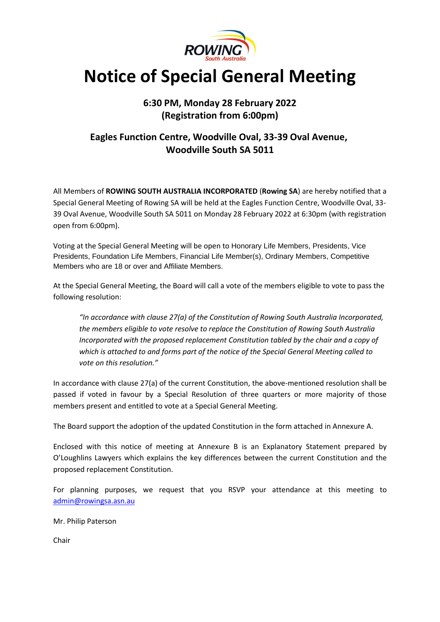

# **Notice of Special General Meeting**

# **6:30 PM, Monday 28 February 2022 (Registration from 6:00pm)**

# **Eagles Function Centre, Woodville Oval, 33-39 Oval Avenue, Woodville South SA 5011**

All Members of **ROWING SOUTH AUSTRALIA INCORPORATED** (**Rowing SA**) are hereby notified that a Special General Meeting of Rowing SA will be held at the Eagles Function Centre, Woodville Oval, 33- 39 Oval Avenue, Woodville South SA 5011 on Monday 28 February 2022 at 6:30pm (with registration open from 6:00pm).

Voting at the Special General Meeting will be open to Honorary Life Members, Presidents, Vice Presidents, Foundation Life Members, Financial Life Member(s), Ordinary Members, Competitive Members who are 18 or over and Affiliate Members.

At the Special General Meeting, the Board will call a vote of the members eligible to vote to pass the following resolution:

*"In accordance with clause 27(a) of the Constitution of Rowing South Australia Incorporated, the members eligible to vote resolve to replace the Constitution of Rowing South Australia Incorporated with the proposed replacement Constitution tabled by the chair and a copy of which is attached to and forms part of the notice of the Special General Meeting called to vote on this resolution."*

In accordance with clause 27(a) of the current Constitution, the above-mentioned resolution shall be passed if voted in favour by a Special Resolution of three quarters or more majority of those members present and entitled to vote at a Special General Meeting.

The Board support the adoption of the updated Constitution in the form attached in Annexure A.

Enclosed with this notice of meeting at Annexure B is an Explanatory Statement prepared by O'Loughlins Lawyers which explains the key differences between the current Constitution and the proposed replacement Constitution.

For planning purposes, we request that you RSVP your attendance at this meeting to [admin@rowingsa.asn.au](mailto:admin@rowingsa.asn.au)

Mr. Philip Paterson

Chair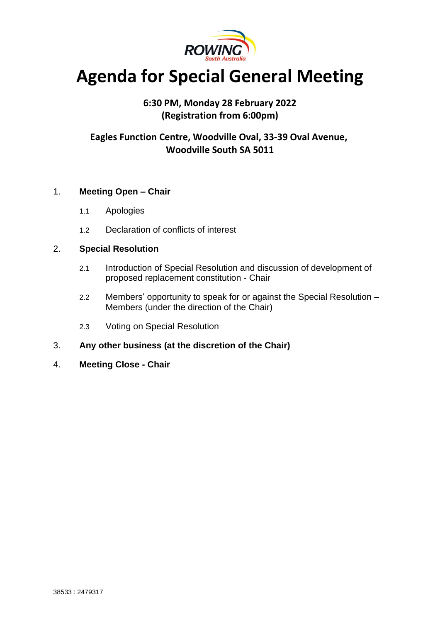

# **Agenda for Special General Meeting**

# **6:30 PM, Monday 28 February 2022 (Registration from 6:00pm)**

# **Eagles Function Centre, Woodville Oval, 33-39 Oval Avenue, Woodville South SA 5011**

# 1. **Meeting Open – Chair**

- 1.1 Apologies
- 1.2 Declaration of conflicts of interest

# 2. **Special Resolution**

- 2.1 Introduction of Special Resolution and discussion of development of proposed replacement constitution - Chair
- 2.2 Members' opportunity to speak for or against the Special Resolution Members (under the direction of the Chair)
- 2.3 Voting on Special Resolution
- 3. **Any other business (at the discretion of the Chair)**
- 4. **Meeting Close - Chair**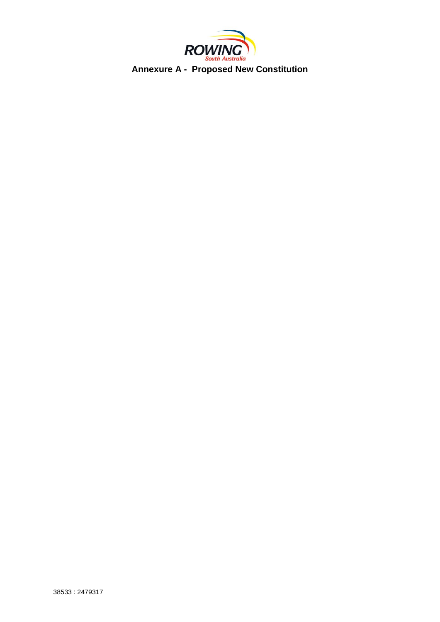

**Annexure A - Proposed New Constitution**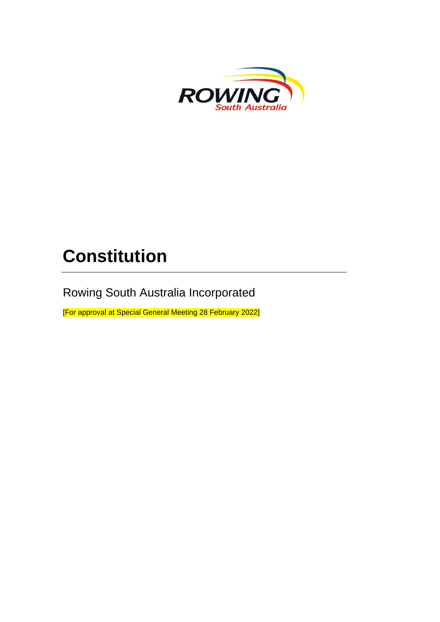

# **Constitution**

Rowing South Australia Incorporated

[For approval at Special General Meeting 28 February 2022]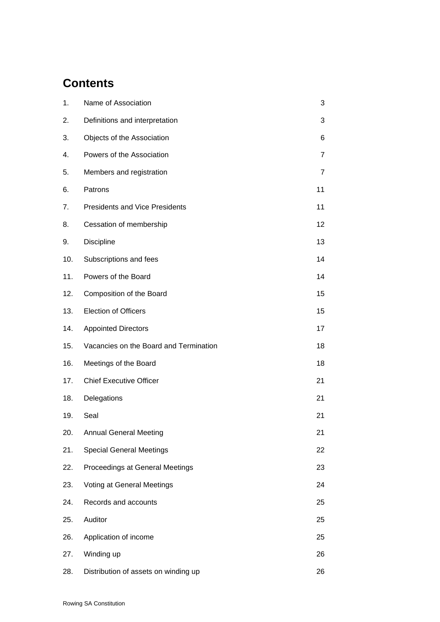# **Contents**

| 1.  | Name of Association                    | 3              |
|-----|----------------------------------------|----------------|
| 2.  | Definitions and interpretation         | 3              |
| 3.  | Objects of the Association             | 6              |
| 4.  | Powers of the Association              | 7              |
| 5.  | Members and registration               | $\overline{7}$ |
| 6.  | Patrons                                | 11             |
| 7.  | <b>Presidents and Vice Presidents</b>  | 11             |
| 8.  | Cessation of membership                | 12             |
| 9.  | Discipline                             | 13             |
| 10. | Subscriptions and fees                 | 14             |
| 11. | Powers of the Board                    | 14             |
| 12. | Composition of the Board               | 15             |
| 13. | <b>Election of Officers</b>            | 15             |
| 14. | <b>Appointed Directors</b>             | 17             |
| 15. | Vacancies on the Board and Termination | 18             |
| 16. | Meetings of the Board                  | 18             |
| 17. | <b>Chief Executive Officer</b>         | 21             |
| 18. | Delegations                            | 21             |
| 19. | Seal                                   | 21             |
| 20. | <b>Annual General Meeting</b>          | 21             |
| 21. | <b>Special General Meetings</b>        | 22             |
| 22. | Proceedings at General Meetings        | 23             |
| 23. | Voting at General Meetings             | 24             |
| 24. | Records and accounts                   | 25             |
| 25. | Auditor                                | 25             |
| 26. | Application of income                  | 25             |
| 27. | Winding up                             | 26             |
| 28. | Distribution of assets on winding up   | 26             |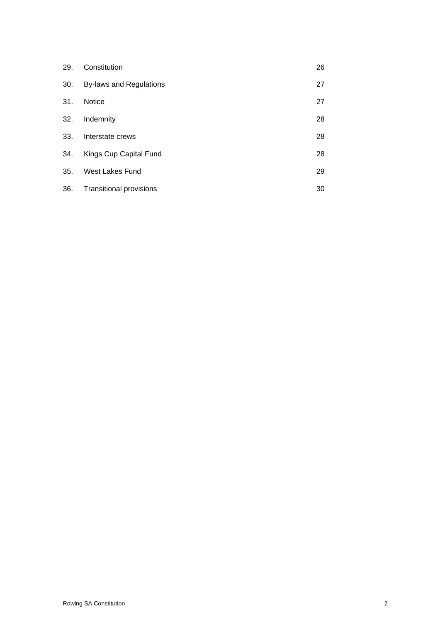| 29. | Constitution                   | 26 |
|-----|--------------------------------|----|
| 30. | <b>By-laws and Regulations</b> | 27 |
| 31. | <b>Notice</b>                  | 27 |
| 32. | Indemnity                      | 28 |
| 33. | Interstate crews               | 28 |
| 34. | Kings Cup Capital Fund         | 28 |
| 35. | West Lakes Fund                | 29 |
| 36. | <b>Transitional provisions</b> | 30 |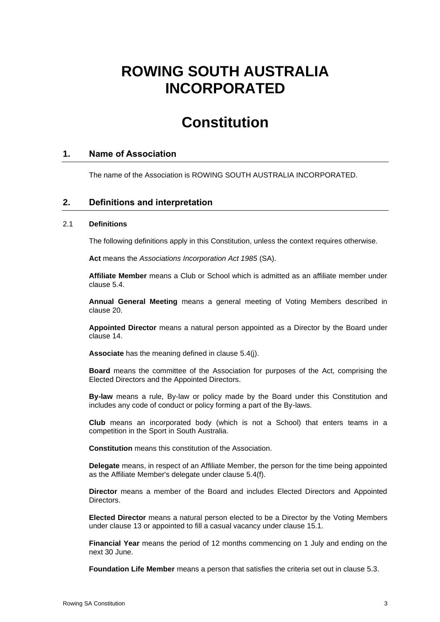# **ROWING SOUTH AUSTRALIA INCORPORATED**

# **Constitution**

# **1. Name of Association**

The name of the Association is ROWING SOUTH AUSTRALIA INCORPORATED.

# **2. Definitions and interpretation**

#### <span id="page-6-0"></span>2.1 **Definitions**

The following definitions apply in this Constitution, unless the context requires otherwise.

**Act** means the *Associations Incorporation Act 1985* (SA).

**Affiliate Member** means a Club or School which is admitted as an affiliate member under clause [5.4.](#page-11-0)

**Annual General Meeting** means a general meeting of Voting Members described in clause [20.](#page-24-0)

**Appointed Director** means a natural person appointed as a Director by the Board under clause [14.](#page-20-0)

**Associate** has the meaning defined in clause [5.4\(j\).](#page-12-0)

**Board** means the committee of the Association for purposes of the Act, comprising the Elected Directors and the Appointed Directors.

**By-law** means a rule, By-law or policy made by the Board under this Constitution and includes any code of conduct or policy forming a part of the By-laws.

**Club** means an incorporated body (which is not a School) that enters teams in a competition in the Sport in South Australia.

**Constitution** means this constitution of the Association.

**Delegate** means, in respect of an Affiliate Member, the person for the time being appointed as the Affiliate Member's delegate under clause [5.4\(f\).](#page-12-1)

**Director** means a member of the Board and includes Elected Directors and Appointed Directors.

**Elected Director** means a natural person elected to be a Director by the Voting Members under clause [13](#page-18-0) or appointed to fill a casual vacancy under clause [15.1.](#page-21-0)

**Financial Year** means the period of 12 months commencing on 1 July and ending on the next 30 June.

**Foundation Life Member** means a person that satisfies the criteria set out in clause [5.3.](#page-11-1)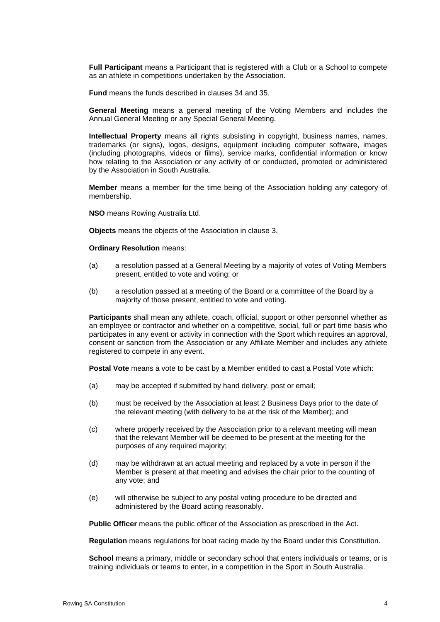**Full Participant** means a Participant that is registered with a Club or a School to compete as an athlete in competitions undertaken by the Association.

**Fund** means the funds described in clauses [34](#page-31-0) and [35.](#page-32-0)

**General Meeting** means a general meeting of the Voting Members and includes the Annual General Meeting or any Special General Meeting.

**Intellectual Property** means all rights subsisting in copyright, business names, names, trademarks (or signs), logos, designs, equipment including computer software, images (including photographs, videos or films), service marks, confidential information or know how relating to the Association or any activity of or conducted, promoted or administered by the Association in South Australia.

**Member** means a member for the time being of the Association holding any category of membership.

**NSO** means Rowing Australia Ltd.

**Objects** means the objects of the Association in clause [3.](#page-9-0)

#### **Ordinary Resolution** means:

- (a) a resolution passed at a General Meeting by a majority of votes of Voting Members present, entitled to vote and voting; or
- (b) a resolution passed at a meeting of the Board or a committee of the Board by a majority of those present, entitled to vote and voting.

**Participants** shall mean any athlete, coach, official, support or other personnel whether as an employee or contractor and whether on a competitive, social, full or part time basis who participates in any event or activity in connection with the Sport which requires an approval, consent or sanction from the Association or any Affiliate Member and includes any athlete registered to compete in any event.

**Postal Vote** means a vote to be cast by a Member entitled to cast a Postal Vote which:

- (a) may be accepted if submitted by hand delivery, post or email;
- (b) must be received by the Association at least 2 Business Days prior to the date of the relevant meeting (with delivery to be at the risk of the Member); and
- (c) where properly received by the Association prior to a relevant meeting will mean that the relevant Member will be deemed to be present at the meeting for the purposes of any required majority;
- (d) may be withdrawn at an actual meeting and replaced by a vote in person if the Member is present at that meeting and advises the chair prior to the counting of any vote; and
- (e) will otherwise be subject to any postal voting procedure to be directed and administered by the Board acting reasonably.

**Public Officer** means the public officer of the Association as prescribed in the Act.

**Regulation** means regulations for boat racing made by the Board under this Constitution.

**School** means a primary, middle or secondary school that enters individuals or teams, or is training individuals or teams to enter, in a competition in the Sport in South Australia.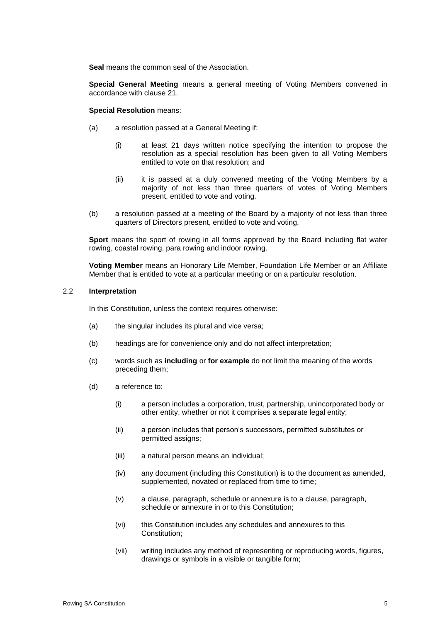**Seal** means the common seal of the Association.

**Special General Meeting** means a general meeting of Voting Members convened in accordance with clause [21.](#page-25-0)

**Special Resolution** means:

- (a) a resolution passed at a General Meeting if:
	- (i) at least 21 days written notice specifying the intention to propose the resolution as a special resolution has been given to all Voting Members entitled to vote on that resolution; and
	- (ii) it is passed at a duly convened meeting of the Voting Members by a majority of not less than three quarters of votes of Voting Members present, entitled to vote and voting.
- (b) a resolution passed at a meeting of the Board by a majority of not less than three quarters of Directors present, entitled to vote and voting.

**Sport** means the sport of rowing in all forms approved by the Board including flat water rowing, coastal rowing, para rowing and indoor rowing.

**Voting Member** means an Honorary Life Member, Foundation Life Member or an Affiliate Member that is entitled to vote at a particular meeting or on a particular resolution.

#### 2.2 **Interpretation**

In this Constitution, unless the context requires otherwise:

- (a) the singular includes its plural and vice versa;
- (b) headings are for convenience only and do not affect interpretation;
- (c) words such as **including** or **for example** do not limit the meaning of the words preceding them;
- (d) a reference to:
	- (i) a person includes a corporation, trust, partnership, unincorporated body or other entity, whether or not it comprises a separate legal entity;
	- (ii) a person includes that person's successors, permitted substitutes or permitted assigns;
	- (iii) a natural person means an individual;
	- (iv) any document (including this Constitution) is to the document as amended, supplemented, novated or replaced from time to time;
	- (v) a clause, paragraph, schedule or annexure is to a clause, paragraph, schedule or annexure in or to this Constitution;
	- (vi) this Constitution includes any schedules and annexures to this Constitution;
	- (vii) writing includes any method of representing or reproducing words, figures, drawings or symbols in a visible or tangible form;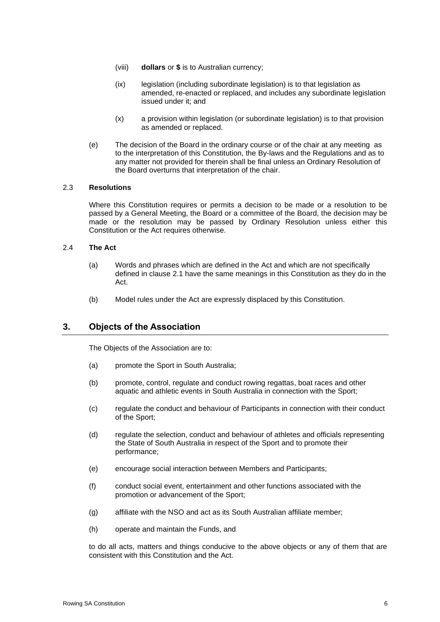- (viii) **dollars** or **\$** is to Australian currency;
- (ix) legislation (including subordinate legislation) is to that legislation as amended, re-enacted or replaced, and includes any subordinate legislation issued under it; and
- (x) a provision within legislation (or subordinate legislation) is to that provision as amended or replaced.
- (e) The decision of the Board in the ordinary course or of the chair at any meeting as to the interpretation of this Constitution, the By-laws and the Regulations and as to any matter not provided for therein shall be final unless an Ordinary Resolution of the Board overturns that interpretation of the chair.

#### 2.3 **Resolutions**

Where this Constitution requires or permits a decision to be made or a resolution to be passed by a General Meeting, the Board or a committee of the Board, the decision may be made or the resolution may be passed by Ordinary Resolution unless either this Constitution or the Act requires otherwise.

#### 2.4 **The Act**

- (a) Words and phrases which are defined in the Act and which are not specifically defined in clause [2.1](#page-6-0) have the same meanings in this Constitution as they do in the Act.
- (b) Model rules under the Act are expressly displaced by this Constitution.

# <span id="page-9-0"></span>**3. Objects of the Association**

The Objects of the Association are to:

- (a) promote the Sport in South Australia;
- (b) promote, control, regulate and conduct rowing regattas, boat races and other aquatic and athletic events in South Australia in connection with the Sport;
- (c) regulate the conduct and behaviour of Participants in connection with their conduct of the Sport;
- (d) regulate the selection, conduct and behaviour of athletes and officials representing the State of South Australia in respect of the Sport and to promote their performance;
- (e) encourage social interaction between Members and Participants;
- (f) conduct social event, entertainment and other functions associated with the promotion or advancement of the Sport;
- (g) affiliate with the NSO and act as its South Australian affiliate member;
- (h) operate and maintain the Funds, and

to do all acts, matters and things conducive to the above objects or any of them that are consistent with this Constitution and the Act.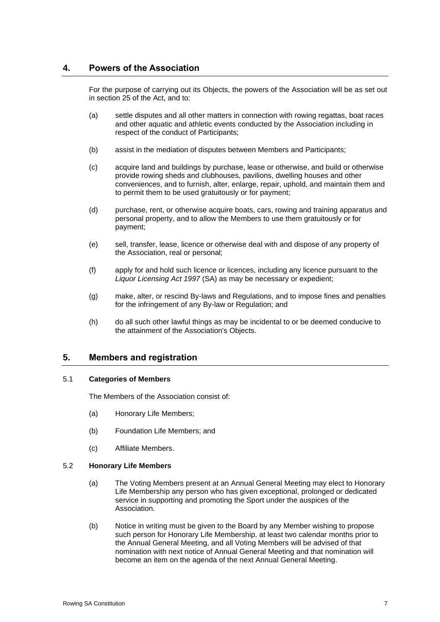# **4. Powers of the Association**

For the purpose of carrying out its Objects, the powers of the Association will be as set out in section 25 of the Act, and to:

- (a) settle disputes and all other matters in connection with rowing regattas, boat races and other aquatic and athletic events conducted by the Association including in respect of the conduct of Participants;
- (b) assist in the mediation of disputes between Members and Participants;
- (c) acquire land and buildings by purchase, lease or otherwise, and build or otherwise provide rowing sheds and clubhouses, pavilions, dwelling houses and other conveniences, and to furnish, alter, enlarge, repair, uphold, and maintain them and to permit them to be used gratuitously or for payment;
- (d) purchase, rent, or otherwise acquire boats, cars, rowing and training apparatus and personal property, and to allow the Members to use them gratuitously or for payment;
- (e) sell, transfer, lease, licence or otherwise deal with and dispose of any property of the Association, real or personal;
- (f) apply for and hold such licence or licences, including any licence pursuant to the *Liquor Licensing Act 1997* (SA) as may be necessary or expedient;
- (g) make, alter, or rescind By-laws and Regulations, and to impose fines and penalties for the infringement of any By-law or Regulation; and
- (h) do all such other lawful things as may be incidental to or be deemed conducive to the attainment of the Association's Objects.

#### **5. Members and registration**

#### 5.1 **Categories of Members**

The Members of the Association consist of:

- (a) Honorary Life Members;
- (b) Foundation Life Members; and
- (c) Affiliate Members.

#### <span id="page-10-0"></span>5.2 **Honorary Life Members**

- (a) The Voting Members present at an Annual General Meeting may elect to Honorary Life Membership any person who has given exceptional, prolonged or dedicated service in supporting and promoting the Sport under the auspices of the Association.
- (b) Notice in writing must be given to the Board by any Member wishing to propose such person for Honorary Life Membership, at least two calendar months prior to the Annual General Meeting, and all Voting Members will be advised of that nomination with next notice of Annual General Meeting and that nomination will become an item on the agenda of the next Annual General Meeting.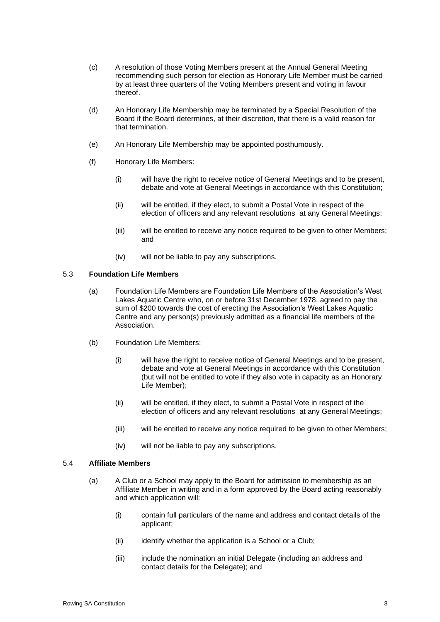- (c) A resolution of those Voting Members present at the Annual General Meeting recommending such person for election as Honorary Life Member must be carried by at least three quarters of the Voting Members present and voting in favour thereof.
- (d) An Honorary Life Membership may be terminated by a Special Resolution of the Board if the Board determines, at their discretion, that there is a valid reason for that termination.
- (e) An Honorary Life Membership may be appointed posthumously.
- (f) Honorary Life Members:
	- (i) will have the right to receive notice of General Meetings and to be present, debate and vote at General Meetings in accordance with this Constitution;
	- (ii) will be entitled, if they elect, to submit a Postal Vote in respect of the election of officers and any relevant resolutions at any General Meetings;
	- (iii) will be entitled to receive any notice required to be given to other Members; and
	- (iv) will not be liable to pay any subscriptions.

#### <span id="page-11-1"></span>5.3 **Foundation Life Members**

- (a) Foundation Life Members are Foundation Life Members of the Association's West Lakes Aquatic Centre who, on or before 31st December 1978, agreed to pay the sum of \$200 towards the cost of erecting the Association's West Lakes Aquatic Centre and any person(s) previously admitted as a financial life members of the Association.
- (b) Foundation Life Members:
	- (i) will have the right to receive notice of General Meetings and to be present, debate and vote at General Meetings in accordance with this Constitution (but will not be entitled to vote if they also vote in capacity as an Honorary Life Member);
	- (ii) will be entitled, if they elect, to submit a Postal Vote in respect of the election of officers and any relevant resolutions at any General Meetings;
	- (iii) will be entitled to receive any notice required to be given to other Members;
	- (iv) will not be liable to pay any subscriptions.

#### <span id="page-11-2"></span><span id="page-11-0"></span>5.4 **Affiliate Members**

- (a) A Club or a School may apply to the Board for admission to membership as an Affiliate Member in writing and in a form approved by the Board acting reasonably and which application will:
	- (i) contain full particulars of the name and address and contact details of the applicant;
	- (ii) identify whether the application is a School or a Club;
	- (iii) include the nomination an initial Delegate (including an address and contact details for the Delegate); and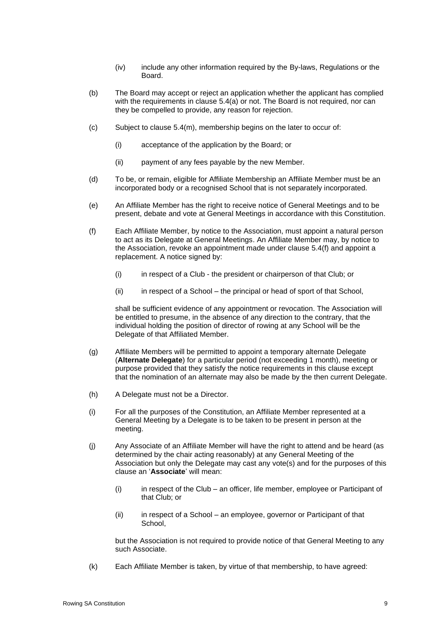- (iv) include any other information required by the By-laws, Regulations or the Board.
- (b) The Board may accept or reject an application whether the applicant has complied with the requirements in clause [5.4\(a\)](#page-11-2) or not. The Board is not required, nor can they be compelled to provide, any reason for rejection.
- (c) Subject to clause [5.4\(m\),](#page-13-0) membership begins on the later to occur of:
	- (i) acceptance of the application by the Board; or
	- (ii) payment of any fees payable by the new Member.
- (d) To be, or remain, eligible for Affiliate Membership an Affiliate Member must be an incorporated body or a recognised School that is not separately incorporated.
- (e) An Affiliate Member has the right to receive notice of General Meetings and to be present, debate and vote at General Meetings in accordance with this Constitution.
- <span id="page-12-1"></span>(f) Each Affiliate Member, by notice to the Association, must appoint a natural person to act as its Delegate at General Meetings. An Affiliate Member may, by notice to the Association, revoke an appointment made under clause [5.4\(f\)](#page-12-1) and appoint a replacement. A notice signed by:
	- (i) in respect of a Club the president or chairperson of that Club; or
	- (ii) in respect of a School the principal or head of sport of that School,

shall be sufficient evidence of any appointment or revocation. The Association will be entitled to presume, in the absence of any direction to the contrary, that the individual holding the position of director of rowing at any School will be the Delegate of that Affiliated Member.

- (g) Affiliate Members will be permitted to appoint a temporary alternate Delegate (**Alternate Delegate**) for a particular period (not exceeding 1 month), meeting or purpose provided that they satisfy the notice requirements in this clause except that the nomination of an alternate may also be made by the then current Delegate.
- (h) A Delegate must not be a Director.
- (i) For all the purposes of the Constitution, an Affiliate Member represented at a General Meeting by a Delegate is to be taken to be present in person at the meeting.
- <span id="page-12-0"></span>(j) Any Associate of an Affiliate Member will have the right to attend and be heard (as determined by the chair acting reasonably) at any General Meeting of the Association but only the Delegate may cast any vote(s) and for the purposes of this clause an '**Associate**' will mean:
	- (i) in respect of the Club an officer, life member, employee or Participant of that Club; or
	- (ii) in respect of a School an employee, governor or Participant of that School,

but the Association is not required to provide notice of that General Meeting to any such Associate.

(k) Each Affiliate Member is taken, by virtue of that membership, to have agreed: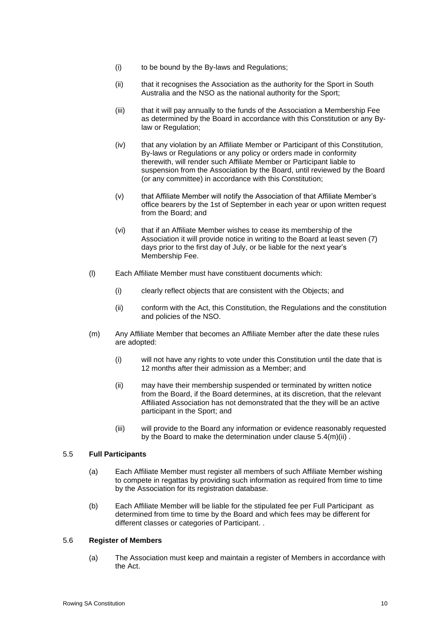- (i) to be bound by the By-laws and Regulations;
- (ii) that it recognises the Association as the authority for the Sport in South Australia and the NSO as the national authority for the Sport;
- (iii) that it will pay annually to the funds of the Association a Membership Fee as determined by the Board in accordance with this Constitution or any Bylaw or Regulation;
- (iv) that any violation by an Affiliate Member or Participant of this Constitution, By-laws or Regulations or any policy or orders made in conformity therewith, will render such Affiliate Member or Participant liable to suspension from the Association by the Board, until reviewed by the Board (or any committee) in accordance with this Constitution;
- (v) that Affiliate Member will notify the Association of that Affiliate Member's office bearers by the 1st of September in each year or upon written request from the Board; and
- (vi) that if an Affiliate Member wishes to cease its membership of the Association it will provide notice in writing to the Board at least seven (7) days prior to the first day of July, or be liable for the next year's Membership Fee.
- (l) Each Affiliate Member must have constituent documents which:
	- (i) clearly reflect objects that are consistent with the Objects; and
	- (ii) conform with the Act, this Constitution, the Regulations and the constitution and policies of the NSO.
- <span id="page-13-1"></span><span id="page-13-0"></span>(m) Any Affiliate Member that becomes an Affiliate Member after the date these rules are adopted:
	- (i) will not have any rights to vote under this Constitution until the date that is 12 months after their admission as a Member; and
	- (ii) may have their membership suspended or terminated by written notice from the Board, if the Board determines, at its discretion, that the relevant Affiliated Association has not demonstrated that the they will be an active participant in the Sport; and
	- (iii) will provide to the Board any information or evidence reasonably requested by the Board to make the determination under clause [5.4\(m\)\(ii\)](#page-13-1).

#### <span id="page-13-2"></span>5.5 **Full Participants**

- (a) Each Affiliate Member must register all members of such Affiliate Member wishing to compete in regattas by providing such information as required from time to time by the Association for its registration database.
- (b) Each Affiliate Member will be liable for the stipulated fee per Full Participant as determined from time to time by the Board and which fees may be different for different classes or categories of Participant. .

#### 5.6 **Register of Members**

(a) The Association must keep and maintain a register of Members in accordance with the Act.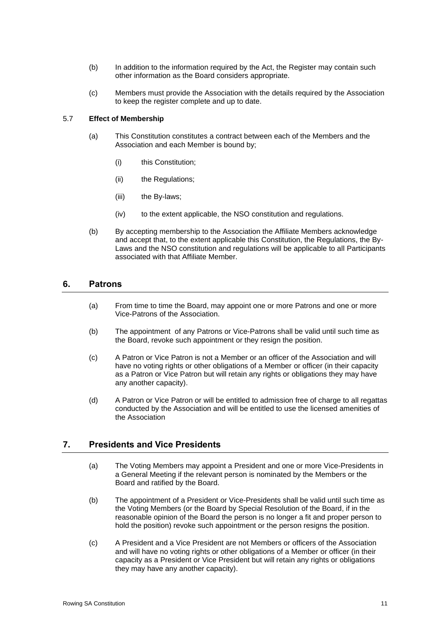- (b) In addition to the information required by the Act, the Register may contain such other information as the Board considers appropriate.
- (c) Members must provide the Association with the details required by the Association to keep the register complete and up to date.

#### 5.7 **Effect of Membership**

- (a) This Constitution constitutes a contract between each of the Members and the Association and each Member is bound by;
	- (i) this Constitution;
	- (ii) the Regulations;
	- (iii) the By-laws;
	- (iv) to the extent applicable, the NSO constitution and regulations.
- (b) By accepting membership to the Association the Affiliate Members acknowledge and accept that, to the extent applicable this Constitution, the Regulations, the By-Laws and the NSO constitution and regulations will be applicable to all Participants associated with that Affiliate Member.

#### **6. Patrons**

- (a) From time to time the Board, may appoint one or more Patrons and one or more Vice-Patrons of the Association.
- (b) The appointment of any Patrons or Vice-Patrons shall be valid until such time as the Board, revoke such appointment or they resign the position.
- (c) A Patron or Vice Patron is not a Member or an officer of the Association and will have no voting rights or other obligations of a Member or officer (in their capacity as a Patron or Vice Patron but will retain any rights or obligations they may have any another capacity).
- (d) A Patron or Vice Patron or will be entitled to admission free of charge to all regattas conducted by the Association and will be entitled to use the licensed amenities of the Association

## **7. Presidents and Vice Presidents**

- (a) The Voting Members may appoint a President and one or more Vice-Presidents in a General Meeting if the relevant person is nominated by the Members or the Board and ratified by the Board.
- (b) The appointment of a President or Vice-Presidents shall be valid until such time as the Voting Members (or the Board by Special Resolution of the Board, if in the reasonable opinion of the Board the person is no longer a fit and proper person to hold the position) revoke such appointment or the person resigns the position.
- (c) A President and a Vice President are not Members or officers of the Association and will have no voting rights or other obligations of a Member or officer (in their capacity as a President or Vice President but will retain any rights or obligations they may have any another capacity).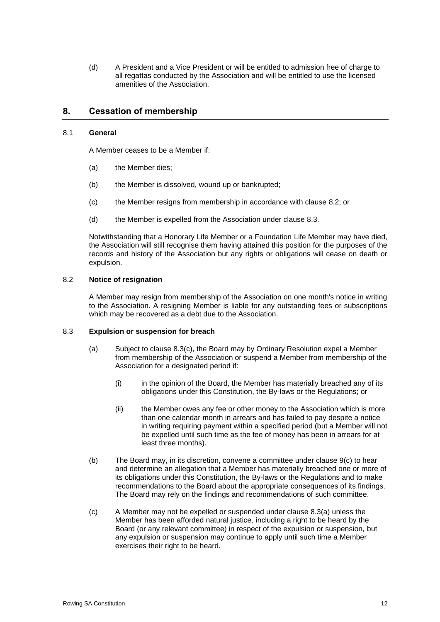(d) A President and a Vice President or will be entitled to admission free of charge to all regattas conducted by the Association and will be entitled to use the licensed amenities of the Association.

# <span id="page-15-4"></span>**8. Cessation of membership**

#### 8.1 **General**

A Member ceases to be a Member if:

- (a) the Member dies;
- (b) the Member is dissolved, wound up or bankrupted;
- (c) the Member resigns from membership in accordance with clause [8.2;](#page-15-0) or
- (d) the Member is expelled from the Association under clause [8.3.](#page-15-1)

Notwithstanding that a Honorary Life Member or a Foundation Life Member may have died, the Association will still recognise them having attained this position for the purposes of the records and history of the Association but any rights or obligations will cease on death or expulsion.

#### <span id="page-15-0"></span>8.2 **Notice of resignation**

A Member may resign from membership of the Association on one month's notice in writing to the Association. A resigning Member is liable for any outstanding fees or subscriptions which may be recovered as a debt due to the Association.

#### <span id="page-15-3"></span><span id="page-15-1"></span>8.3 **Expulsion or suspension for breach**

- (a) Subject to clause [8.3\(c\),](#page-15-2) the Board may by Ordinary Resolution expel a Member from membership of the Association or suspend a Member from membership of the Association for a designated period if:
	- (i) in the opinion of the Board, the Member has materially breached any of its obligations under this Constitution, the By-laws or the Regulations; or
	- (ii) the Member owes any fee or other money to the Association which is more than one calendar month in arrears and has failed to pay despite a notice in writing requiring payment within a specified period (but a Member will not be expelled until such time as the fee of money has been in arrears for at least three months).
- (b) The Board may, in its discretion, convene a committee under clause [9\(c\)](#page-16-0) to hear and determine an allegation that a Member has materially breached one or more of its obligations under this Constitution, the By-laws or the Regulations and to make recommendations to the Board about the appropriate consequences of its findings. The Board may rely on the findings and recommendations of such committee.
- <span id="page-15-2"></span>(c) A Member may not be expelled or suspended under clause [8.3\(a\)](#page-15-3) unless the Member has been afforded natural justice, including a right to be heard by the Board (or any relevant committee) in respect of the expulsion or suspension, but any expulsion or suspension may continue to apply until such time a Member exercises their right to be heard.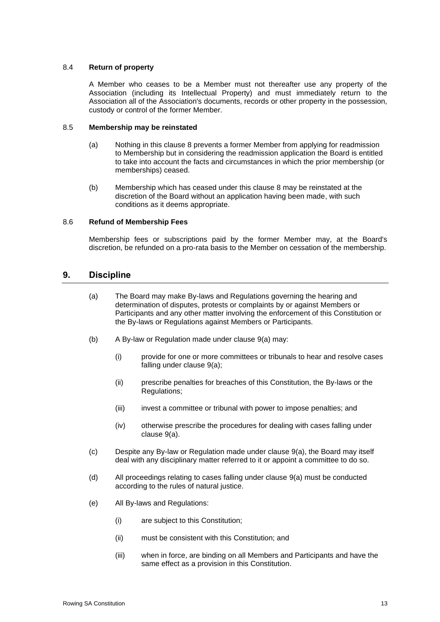#### 8.4 **Return of property**

A Member who ceases to be a Member must not thereafter use any property of the Association (including its Intellectual Property) and must immediately return to the Association all of the Association's documents, records or other property in the possession, custody or control of the former Member.

#### 8.5 **Membership may be reinstated**

- (a) Nothing in this clause [8](#page-15-4) prevents a former Member from applying for readmission to Membership but in considering the readmission application the Board is entitled to take into account the facts and circumstances in which the prior membership (or memberships) ceased.
- (b) Membership which has ceased under this clause [8](#page-15-4) may be reinstated at the discretion of the Board without an application having been made, with such conditions as it deems appropriate.

#### 8.6 **Refund of Membership Fees**

Membership fees or subscriptions paid by the former Member may, at the Board's discretion, be refunded on a pro-rata basis to the Member on cessation of the membership.

# <span id="page-16-1"></span>**9. Discipline**

- (a) The Board may make By-laws and Regulations governing the hearing and determination of disputes, protests or complaints by or against Members or Participants and any other matter involving the enforcement of this Constitution or the By-laws or Regulations against Members or Participants.
- (b) A By-law or Regulation made under clause [9\(a\)](#page-16-1) may:
	- (i) provide for one or more committees or tribunals to hear and resolve cases falling under clause [9\(a\);](#page-16-1)
	- (ii) prescribe penalties for breaches of this Constitution, the By-laws or the Regulations;
	- (iii) invest a committee or tribunal with power to impose penalties; and
	- (iv) otherwise prescribe the procedures for dealing with cases falling under clause [9\(a\).](#page-16-1)
- <span id="page-16-0"></span>(c) Despite any By-law or Regulation made under clause [9\(a\),](#page-16-1) the Board may itself deal with any disciplinary matter referred to it or appoint a committee to do so.
- (d) All proceedings relating to cases falling under clause [9\(a\)](#page-16-1) must be conducted according to the rules of natural justice.
- (e) All By-laws and Regulations:
	- (i) are subject to this Constitution;
	- (ii) must be consistent with this Constitution; and
	- (iii) when in force, are binding on all Members and Participants and have the same effect as a provision in this Constitution.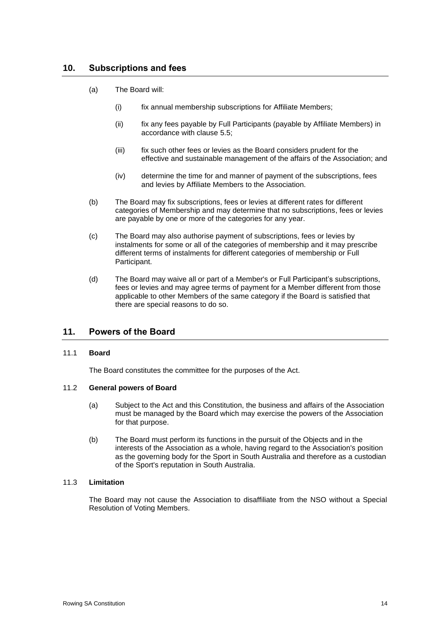# **10. Subscriptions and fees**

- (a) The Board will:
	- (i) fix annual membership subscriptions for Affiliate Members;
	- (ii) fix any fees payable by Full Participants (payable by Affiliate Members) in accordance with clause [5.5;](#page-13-2)
	- (iii) fix such other fees or levies as the Board considers prudent for the effective and sustainable management of the affairs of the Association; and
	- (iv) determine the time for and manner of payment of the subscriptions, fees and levies by Affiliate Members to the Association.
- (b) The Board may fix subscriptions, fees or levies at different rates for different categories of Membership and may determine that no subscriptions, fees or levies are payable by one or more of the categories for any year.
- (c) The Board may also authorise payment of subscriptions, fees or levies by instalments for some or all of the categories of membership and it may prescribe different terms of instalments for different categories of membership or Full Participant.
- (d) The Board may waive all or part of a Member's or Full Participant's subscriptions, fees or levies and may agree terms of payment for a Member different from those applicable to other Members of the same category if the Board is satisfied that there are special reasons to do so.

# **11. Powers of the Board**

#### 11.1 **Board**

The Board constitutes the committee for the purposes of the Act.

#### 11.2 **General powers of Board**

- (a) Subject to the Act and this Constitution, the business and affairs of the Association must be managed by the Board which may exercise the powers of the Association for that purpose.
- (b) The Board must perform its functions in the pursuit of the Objects and in the interests of the Association as a whole, having regard to the Association's position as the governing body for the Sport in South Australia and therefore as a custodian of the Sport's reputation in South Australia.

#### 11.3 **Limitation**

The Board may not cause the Association to disaffiliate from the NSO without a Special Resolution of Voting Members.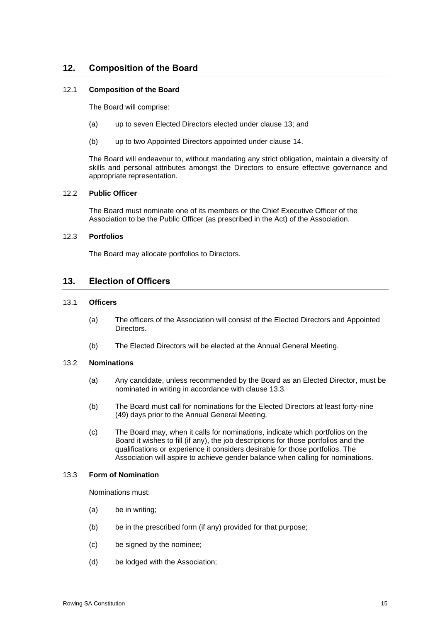# **12. Composition of the Board**

#### 12.1 **Composition of the Board**

The Board will comprise:

- (a) up to seven Elected Directors elected under clause [13;](#page-18-0) and
- (b) up to two Appointed Directors appointed under clause [14.](#page-20-0)

The Board will endeavour to, without mandating any strict obligation, maintain a diversity of skills and personal attributes amongst the Directors to ensure effective governance and appropriate representation.

#### 12.2 **Public Officer**

The Board must nominate one of its members or the Chief Executive Officer of the Association to be the Public Officer (as prescribed in the Act) of the Association.

#### 12.3 **Portfolios**

The Board may allocate portfolios to Directors.

# <span id="page-18-0"></span>**13. Election of Officers**

#### 13.1 **Officers**

- (a) The officers of the Association will consist of the Elected Directors and Appointed Directors.
- (b) The Elected Directors will be elected at the Annual General Meeting.

#### 13.2 **Nominations**

- (a) Any candidate, unless recommended by the Board as an Elected Director, must be nominated in writing in accordance with clause [13.3.](#page-18-1)
- (b) The Board must call for nominations for the Elected Directors at least forty-nine (49) days prior to the Annual General Meeting.
- (c) The Board may, when it calls for nominations, indicate which portfolios on the Board it wishes to fill (if any), the job descriptions for those portfolios and the qualifications or experience it considers desirable for those portfolios. The Association will aspire to achieve gender balance when calling for nominations.

#### <span id="page-18-1"></span>13.3 **Form of Nomination**

Nominations must:

- (a) be in writing;
- (b) be in the prescribed form (if any) provided for that purpose;
- (c) be signed by the nominee;
- (d) be lodged with the Association;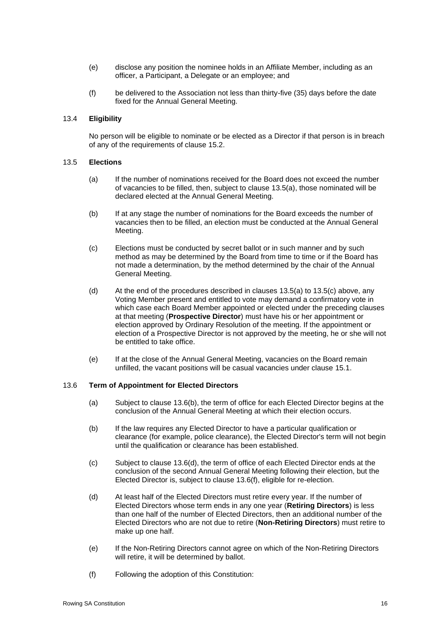- (e) disclose any position the nominee holds in an Affiliate Member, including as an officer, a Participant, a Delegate or an employee; and
- (f) be delivered to the Association not less than thirty-five (35) days before the date fixed for the Annual General Meeting.

### 13.4 **Eligibility**

No person will be eligible to nominate or be elected as a Director if that person is in breach of any of the requirements of clause [15.2.](#page-21-1)

#### <span id="page-19-0"></span>13.5 **Elections**

- (a) If the number of nominations received for the Board does not exceed the number of vacancies to be filled, then, subject to clause [13.5\(a\),](#page-19-0) those nominated will be declared elected at the Annual General Meeting.
- (b) If at any stage the number of nominations for the Board exceeds the number of vacancies then to be filled, an election must be conducted at the Annual General Meeting.
- <span id="page-19-1"></span>(c) Elections must be conducted by secret ballot or in such manner and by such method as may be determined by the Board from time to time or if the Board has not made a determination, by the method determined by the chair of the Annual General Meeting.
- (d) At the end of the procedures described in clauses [13.5\(a\)](#page-19-0) to [13.5\(c\)](#page-19-1) above, any Voting Member present and entitled to vote may demand a confirmatory vote in which case each Board Member appointed or elected under the preceding clauses at that meeting (**Prospective Director**) must have his or her appointment or election approved by Ordinary Resolution of the meeting. If the appointment or election of a Prospective Director is not approved by the meeting, he or she will not be entitled to take office.
- (e) If at the close of the Annual General Meeting, vacancies on the Board remain unfilled, the vacant positions will be casual vacancies under clause [15.1.](#page-21-0)

#### 13.6 **Term of Appointment for Elected Directors**

- (a) Subject to clause [13.6\(b\),](#page-19-2) the term of office for each Elected Director begins at the conclusion of the Annual General Meeting at which their election occurs.
- <span id="page-19-2"></span>(b) If the law requires any Elected Director to have a particular qualification or clearance (for example, police clearance), the Elected Director's term will not begin until the qualification or clearance has been established.
- (c) Subject to clause [13.6\(d\),](#page-19-3) the term of office of each Elected Director ends at the conclusion of the second Annual General Meeting following their election, but the Elected Director is, subject to clause [13.6\(f\),](#page-19-4) eligible for re-election.
- <span id="page-19-3"></span>(d) At least half of the Elected Directors must retire every year. If the number of Elected Directors whose term ends in any one year (**Retiring Directors**) is less than one half of the number of Elected Directors, then an additional number of the Elected Directors who are not due to retire (**Non-Retiring Directors**) must retire to make up one half.
- (e) If the Non-Retiring Directors cannot agree on which of the Non-Retiring Directors will retire, it will be determined by ballot.
- <span id="page-19-4"></span>(f) Following the adoption of this Constitution: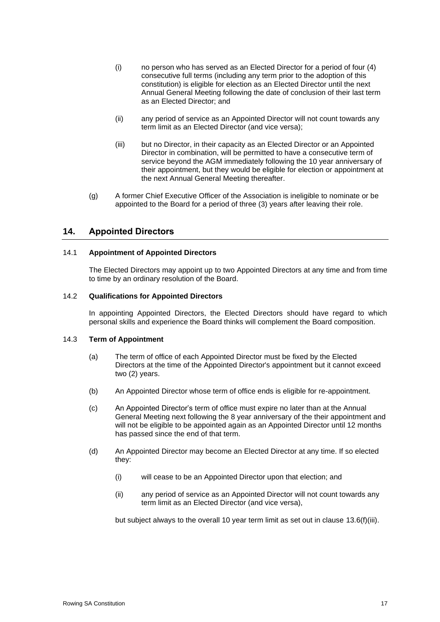- (i) no person who has served as an Elected Director for a period of four (4) consecutive full terms (including any term prior to the adoption of this constitution) is eligible for election as an Elected Director until the next Annual General Meeting following the date of conclusion of their last term as an Elected Director; and
- (ii) any period of service as an Appointed Director will not count towards any term limit as an Elected Director (and vice versa);
- <span id="page-20-1"></span>(iii) but no Director, in their capacity as an Elected Director or an Appointed Director in combination, will be permitted to have a consecutive term of service beyond the AGM immediately following the 10 year anniversary of their appointment, but they would be eligible for election or appointment at the next Annual General Meeting thereafter.
- (g) A former Chief Executive Officer of the Association is ineligible to nominate or be appointed to the Board for a period of three (3) years after leaving their role.

## <span id="page-20-0"></span>**14. Appointed Directors**

#### 14.1 **Appointment of Appointed Directors**

The Elected Directors may appoint up to two Appointed Directors at any time and from time to time by an ordinary resolution of the Board.

#### 14.2 **Qualifications for Appointed Directors**

In appointing Appointed Directors, the Elected Directors should have regard to which personal skills and experience the Board thinks will complement the Board composition.

#### 14.3 **Term of Appointment**

- (a) The term of office of each Appointed Director must be fixed by the Elected Directors at the time of the Appointed Director's appointment but it cannot exceed two (2) years.
- (b) An Appointed Director whose term of office ends is eligible for re-appointment.
- (c) An Appointed Director's term of office must expire no later than at the Annual General Meeting next following the 8 year anniversary of the their appointment and will not be eligible to be appointed again as an Appointed Director until 12 months has passed since the end of that term.
- (d) An Appointed Director may become an Elected Director at any time. If so elected they:
	- (i) will cease to be an Appointed Director upon that election; and
	- (ii) any period of service as an Appointed Director will not count towards any term limit as an Elected Director (and vice versa),

but subject always to the overall 10 year term limit as set out in clause [13.6\(f\)\(iii\).](#page-20-1)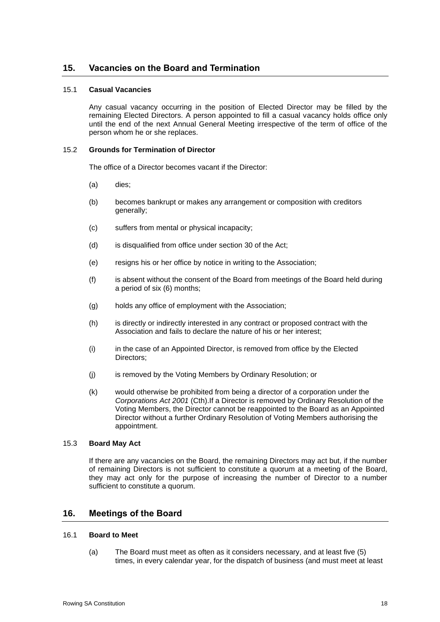# **15. Vacancies on the Board and Termination**

#### <span id="page-21-0"></span>15.1 **Casual Vacancies**

Any casual vacancy occurring in the position of Elected Director may be filled by the remaining Elected Directors. A person appointed to fill a casual vacancy holds office only until the end of the next Annual General Meeting irrespective of the term of office of the person whom he or she replaces.

#### <span id="page-21-1"></span>15.2 **Grounds for Termination of Director**

The office of a Director becomes vacant if the Director:

- (a) dies;
- (b) becomes bankrupt or makes any arrangement or composition with creditors generally;
- (c) suffers from mental or physical incapacity;
- (d) is disqualified from office under section 30 of the Act;
- (e) resigns his or her office by notice in writing to the Association;
- (f) is absent without the consent of the Board from meetings of the Board held during a period of six (6) months;
- (g) holds any office of employment with the Association;
- (h) is directly or indirectly interested in any contract or proposed contract with the Association and fails to declare the nature of his or her interest;
- (i) in the case of an Appointed Director, is removed from office by the Elected Directors;
- (j) is removed by the Voting Members by Ordinary Resolution; or
- (k) would otherwise be prohibited from being a director of a corporation under the *Corporations Act 2001* (Cth).If a Director is removed by Ordinary Resolution of the Voting Members, the Director cannot be reappointed to the Board as an Appointed Director without a further Ordinary Resolution of Voting Members authorising the appointment.

#### 15.3 **Board May Act**

If there are any vacancies on the Board, the remaining Directors may act but, if the number of remaining Directors is not sufficient to constitute a quorum at a meeting of the Board, they may act only for the purpose of increasing the number of Director to a number sufficient to constitute a quorum.

# **16. Meetings of the Board**

#### 16.1 **Board to Meet**

(a) The Board must meet as often as it considers necessary, and at least five (5) times, in every calendar year, for the dispatch of business (and must meet at least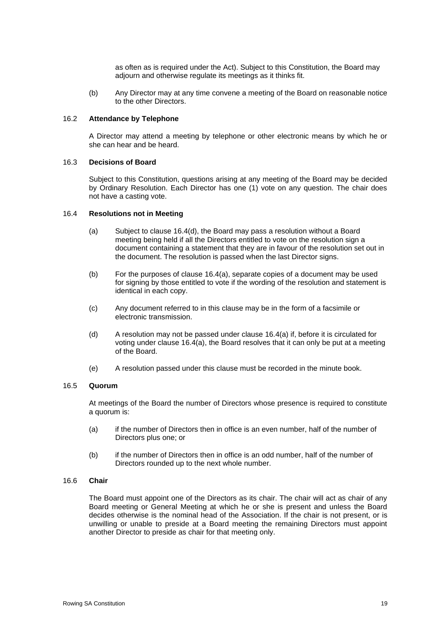as often as is required under the Act). Subject to this Constitution, the Board may adjourn and otherwise regulate its meetings as it thinks fit.

(b) Any Director may at any time convene a meeting of the Board on reasonable notice to the other Directors.

#### 16.2 **Attendance by Telephone**

A Director may attend a meeting by telephone or other electronic means by which he or she can hear and be heard.

#### 16.3 **Decisions of Board**

Subject to this Constitution, questions arising at any meeting of the Board may be decided by Ordinary Resolution. Each Director has one (1) vote on any question. The chair does not have a casting vote.

#### <span id="page-22-1"></span>16.4 **Resolutions not in Meeting**

- (a) Subject to clause [16.4\(d\),](#page-22-0) the Board may pass a resolution without a Board meeting being held if all the Directors entitled to vote on the resolution sign a document containing a statement that they are in favour of the resolution set out in the document. The resolution is passed when the last Director signs.
- (b) For the purposes of clause [16.4\(a\),](#page-22-1) separate copies of a document may be used for signing by those entitled to vote if the wording of the resolution and statement is identical in each copy.
- (c) Any document referred to in this clause may be in the form of a facsimile or electronic transmission.
- <span id="page-22-0"></span>(d) A resolution may not be passed under clause [16.4\(a\)](#page-22-1) if, before it is circulated for voting under clause [16.4\(a\),](#page-22-1) the Board resolves that it can only be put at a meeting of the Board.
- (e) A resolution passed under this clause must be recorded in the minute book.

#### 16.5 **Quorum**

At meetings of the Board the number of Directors whose presence is required to constitute a quorum is:

- (a) if the number of Directors then in office is an even number, half of the number of Directors plus one; or
- (b) if the number of Directors then in office is an odd number, half of the number of Directors rounded up to the next whole number.

#### 16.6 **Chair**

The Board must appoint one of the Directors as its chair. The chair will act as chair of any Board meeting or General Meeting at which he or she is present and unless the Board decides otherwise is the nominal head of the Association. If the chair is not present, or is unwilling or unable to preside at a Board meeting the remaining Directors must appoint another Director to preside as chair for that meeting only.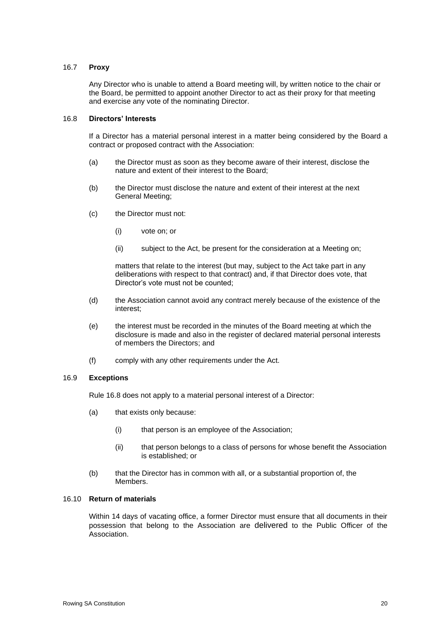#### 16.7 **Proxy**

Any Director who is unable to attend a Board meeting will, by written notice to the chair or the Board, be permitted to appoint another Director to act as their proxy for that meeting and exercise any vote of the nominating Director.

#### <span id="page-23-0"></span>16.8 **Directors' Interests**

If a Director has a material personal interest in a matter being considered by the Board a contract or proposed contract with the Association:

- (a) the Director must as soon as they become aware of their interest, disclose the nature and extent of their interest to the Board;
- (b) the Director must disclose the nature and extent of their interest at the next General Meeting;
- (c) the Director must not:
	- (i) vote on; or
	- (ii) subject to the Act, be present for the consideration at a Meeting on;

matters that relate to the interest (but may, subject to the Act take part in any deliberations with respect to that contract) and, if that Director does vote, that Director's vote must not be counted;

- (d) the Association cannot avoid any contract merely because of the existence of the interest;
- (e) the interest must be recorded in the minutes of the Board meeting at which the disclosure is made and also in the register of declared material personal interests of members the Directors; and
- (f) comply with any other requirements under the Act.

#### 16.9 **Exceptions**

Rule [16.8](#page-23-0) does not apply to a material personal interest of a Director:

- (a) that exists only because:
	- (i) that person is an employee of the Association;
	- (ii) that person belongs to a class of persons for whose benefit the Association is established; or
- (b) that the Director has in common with all, or a substantial proportion of, the Members.

#### 16.10 **Return of materials**

Within 14 days of vacating office, a former Director must ensure that all documents in their possession that belong to the Association are delivered to the Public Officer of the Association.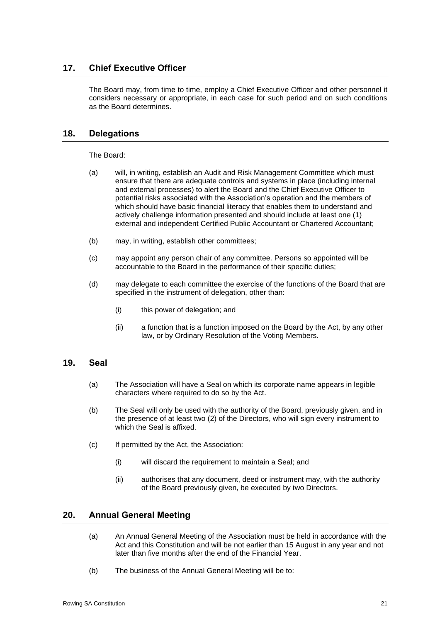# **17. Chief Executive Officer**

The Board may, from time to time, employ a Chief Executive Officer and other personnel it considers necessary or appropriate, in each case for such period and on such conditions as the Board determines.

# **18. Delegations**

The Board:

- (a) will, in writing, establish an Audit and Risk Management Committee which must ensure that there are adequate controls and systems in place (including internal and external processes) to alert the Board and the Chief Executive Officer to potential risks associated with the Association's operation and the members of which should have basic financial literacy that enables them to understand and actively challenge information presented and should include at least one (1) external and independent Certified Public Accountant or Chartered Accountant;
- (b) may, in writing, establish other committees;
- (c) may appoint any person chair of any committee. Persons so appointed will be accountable to the Board in the performance of their specific duties;
- (d) may delegate to each committee the exercise of the functions of the Board that are specified in the instrument of delegation, other than:
	- (i) this power of delegation; and
	- (ii) a function that is a function imposed on the Board by the Act, by any other law, or by Ordinary Resolution of the Voting Members.

# **19. Seal**

- (a) The Association will have a Seal on which its corporate name appears in legible characters where required to do so by the Act.
- (b) The Seal will only be used with the authority of the Board, previously given, and in the presence of at least two (2) of the Directors, who will sign every instrument to which the Seal is affixed.
- (c) If permitted by the Act, the Association:
	- (i) will discard the requirement to maintain a Seal; and
	- (ii) authorises that any document, deed or instrument may, with the authority of the Board previously given, be executed by two Directors.

# <span id="page-24-0"></span>**20. Annual General Meeting**

- (a) An Annual General Meeting of the Association must be held in accordance with the Act and this Constitution and will be not earlier than 15 August in any year and not later than five months after the end of the Financial Year.
- (b) The business of the Annual General Meeting will be to: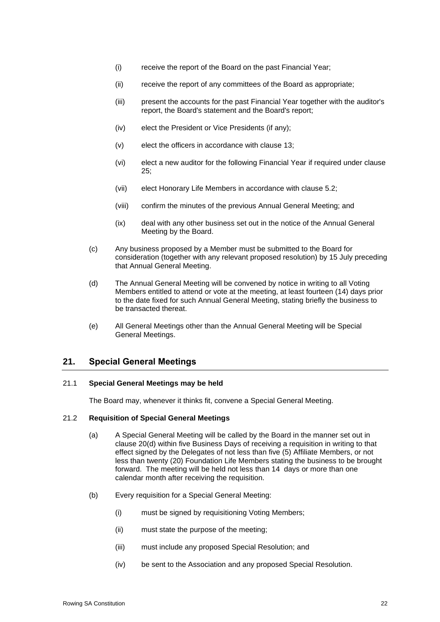- (i) receive the report of the Board on the past Financial Year;
- (ii) receive the report of any committees of the Board as appropriate;
- (iii) present the accounts for the past Financial Year together with the auditor's report, the Board's statement and the Board's report;
- (iv) elect the President or Vice Presidents (if any);
- (v) elect the officers in accordance with clause [13;](#page-18-0)
- (vi) elect a new auditor for the following Financial Year if required under clause [25;](#page-28-0)
- (vii) elect Honorary Life Members in accordance with clause [5.2;](#page-10-0)
- (viii) confirm the minutes of the previous Annual General Meeting; and
- (ix) deal with any other business set out in the notice of the Annual General Meeting by the Board.
- (c) Any business proposed by a Member must be submitted to the Board for consideration (together with any relevant proposed resolution) by 15 July preceding that Annual General Meeting.
- <span id="page-25-1"></span>(d) The Annual General Meeting will be convened by notice in writing to all Voting Members entitled to attend or vote at the meeting, at least fourteen (14) days prior to the date fixed for such Annual General Meeting, stating briefly the business to be transacted thereat.
- (e) All General Meetings other than the Annual General Meeting will be Special General Meetings.

# <span id="page-25-0"></span>**21. Special General Meetings**

#### 21.1 **Special General Meetings may be held**

The Board may, whenever it thinks fit, convene a Special General Meeting.

#### <span id="page-25-2"></span>21.2 **Requisition of Special General Meetings**

- (a) A Special General Meeting will be called by the Board in the manner set out in clause [20\(d\)](#page-25-1) within five Business Days of receiving a requisition in writing to that effect signed by the Delegates of not less than five (5) Affiliate Members, or not less than twenty (20) Foundation Life Members stating the business to be brought forward. The meeting will be held not less than 14 days or more than one calendar month after receiving the requisition.
- (b) Every requisition for a Special General Meeting:
	- (i) must be signed by requisitioning Voting Members;
	- (ii) must state the purpose of the meeting;
	- (iii) must include any proposed Special Resolution; and
	- (iv) be sent to the Association and any proposed Special Resolution.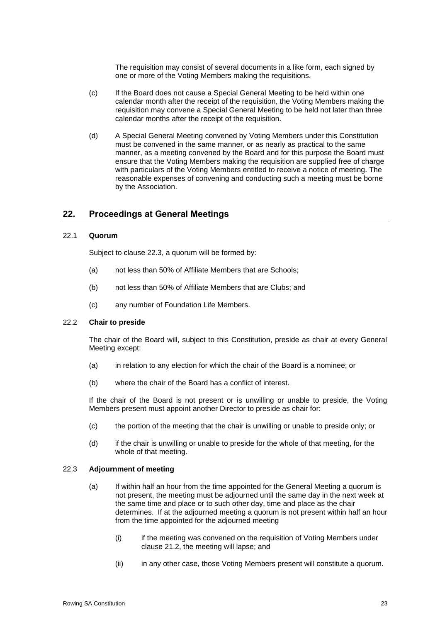The requisition may consist of several documents in a like form, each signed by one or more of the Voting Members making the requisitions.

- (c) If the Board does not cause a Special General Meeting to be held within one calendar month after the receipt of the requisition, the Voting Members making the requisition may convene a Special General Meeting to be held not later than three calendar months after the receipt of the requisition.
- (d) A Special General Meeting convened by Voting Members under this Constitution must be convened in the same manner, or as nearly as practical to the same manner, as a meeting convened by the Board and for this purpose the Board must ensure that the Voting Members making the requisition are supplied free of charge with particulars of the Voting Members entitled to receive a notice of meeting. The reasonable expenses of convening and conducting such a meeting must be borne by the Association.

# **22. Proceedings at General Meetings**

#### 22.1 **Quorum**

Subject to clause [22.3,](#page-26-0) a quorum will be formed by:

- (a) not less than 50% of Affiliate Members that are Schools;
- (b) not less than 50% of Affiliate Members that are Clubs; and
- (c) any number of Foundation Life Members.

#### 22.2 **Chair to preside**

The chair of the Board will, subject to this Constitution, preside as chair at every General Meeting except:

- (a) in relation to any election for which the chair of the Board is a nominee; or
- (b) where the chair of the Board has a conflict of interest.

If the chair of the Board is not present or is unwilling or unable to preside, the Voting Members present must appoint another Director to preside as chair for:

- (c) the portion of the meeting that the chair is unwilling or unable to preside only; or
- (d) if the chair is unwilling or unable to preside for the whole of that meeting, for the whole of that meeting.

#### <span id="page-26-0"></span>22.3 **Adjournment of meeting**

- (a) If within half an hour from the time appointed for the General Meeting a quorum is not present, the meeting must be adjourned until the same day in the next week at the same time and place or to such other day, time and place as the chair determines. If at the adjourned meeting a quorum is not present within half an hour from the time appointed for the adjourned meeting
	- (i) if the meeting was convened on the requisition of Voting Members under clause [21.2,](#page-25-2) the meeting will lapse; and
	- (ii) in any other case, those Voting Members present will constitute a quorum.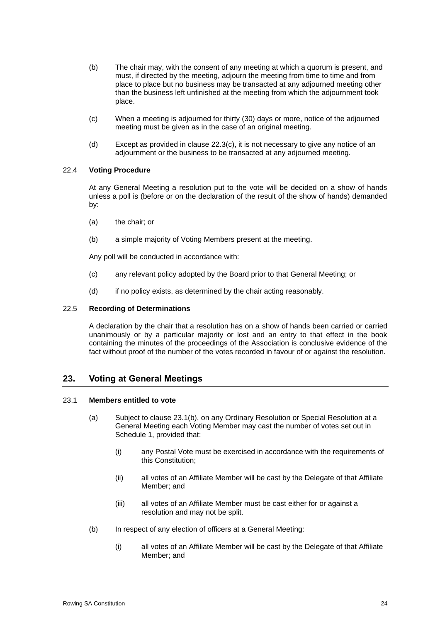- (b) The chair may, with the consent of any meeting at which a quorum is present, and must, if directed by the meeting, adjourn the meeting from time to time and from place to place but no business may be transacted at any adjourned meeting other than the business left unfinished at the meeting from which the adjournment took place.
- <span id="page-27-0"></span>(c) When a meeting is adjourned for thirty (30) days or more, notice of the adjourned meeting must be given as in the case of an original meeting.
- (d) Except as provided in clause [22.3\(c\),](#page-27-0) it is not necessary to give any notice of an adjournment or the business to be transacted at any adjourned meeting.

#### 22.4 **Voting Procedure**

At any General Meeting a resolution put to the vote will be decided on a show of hands unless a poll is (before or on the declaration of the result of the show of hands) demanded by:

- (a) the chair; or
- (b) a simple majority of Voting Members present at the meeting.

Any poll will be conducted in accordance with:

- (c) any relevant policy adopted by the Board prior to that General Meeting; or
- (d) if no policy exists, as determined by the chair acting reasonably.

#### 22.5 **Recording of Determinations**

A declaration by the chair that a resolution has on a show of hands been carried or carried unanimously or by a particular majority or lost and an entry to that effect in the book containing the minutes of the proceedings of the Association is conclusive evidence of the fact without proof of the number of the votes recorded in favour of or against the resolution.

# **23. Voting at General Meetings**

#### 23.1 **Members entitled to vote**

- (a) Subject to clause [23.1\(b\),](#page-27-1) on any Ordinary Resolution or Special Resolution at a General Meeting each Voting Member may cast the number of votes set out in Schedule 1, provided that:
	- (i) any Postal Vote must be exercised in accordance with the requirements of this Constitution;
	- (ii) all votes of an Affiliate Member will be cast by the Delegate of that Affiliate Member; and
	- (iii) all votes of an Affiliate Member must be cast either for or against a resolution and may not be split.
- <span id="page-27-1"></span>(b) In respect of any election of officers at a General Meeting:
	- (i) all votes of an Affiliate Member will be cast by the Delegate of that Affiliate Member; and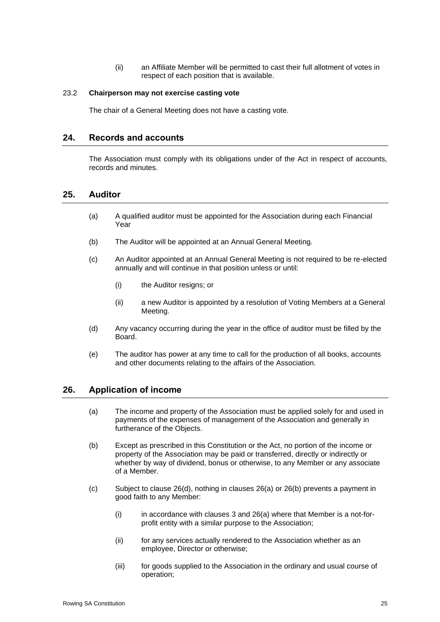(ii) an Affiliate Member will be permitted to cast their full allotment of votes in respect of each position that is available.

#### 23.2 **Chairperson may not exercise casting vote**

The chair of a General Meeting does not have a casting vote.

# **24. Records and accounts**

The Association must comply with its obligations under of the Act in respect of accounts, records and minutes.

## <span id="page-28-0"></span>**25. Auditor**

- (a) A qualified auditor must be appointed for the Association during each Financial Year
- (b) The Auditor will be appointed at an Annual General Meeting.
- (c) An Auditor appointed at an Annual General Meeting is not required to be re-elected annually and will continue in that position unless or until:
	- (i) the Auditor resigns; or
	- (ii) a new Auditor is appointed by a resolution of Voting Members at a General Meeting.
- (d) Any vacancy occurring during the year in the office of auditor must be filled by the Board.
- (e) The auditor has power at any time to call for the production of all books, accounts and other documents relating to the affairs of the Association.

#### <span id="page-28-1"></span>**26. Application of income**

- (a) The income and property of the Association must be applied solely for and used in payments of the expenses of management of the Association and generally in furtherance of the Objects.
- <span id="page-28-2"></span>(b) Except as prescribed in this Constitution or the Act, no portion of the income or property of the Association may be paid or transferred, directly or indirectly or whether by way of dividend, bonus or otherwise, to any Member or any associate of a Member.
- <span id="page-28-3"></span>(c) Subject to clause [26\(d\),](#page-29-0) nothing in clauses [26\(a\)](#page-28-1) or [26\(b\)](#page-28-2) prevents a payment in good faith to any Member:
	- $(i)$  in accordance with clauses [3](#page-9-0) and [26\(a\)](#page-28-1) where that Member is a not-forprofit entity with a similar purpose to the Association;
	- (ii) for any services actually rendered to the Association whether as an employee, Director or otherwise;
	- (iii) for goods supplied to the Association in the ordinary and usual course of operation;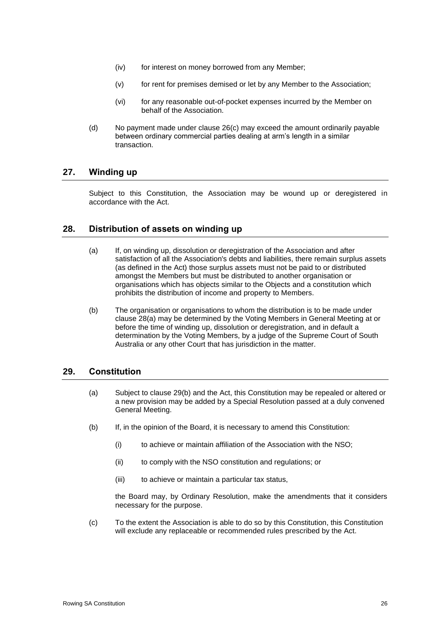- (iv) for interest on money borrowed from any Member;
- (v) for rent for premises demised or let by any Member to the Association;
- (vi) for any reasonable out-of-pocket expenses incurred by the Member on behalf of the Association.
- <span id="page-29-0"></span>(d) No payment made under clause [26\(c\)](#page-28-3) may exceed the amount ordinarily payable between ordinary commercial parties dealing at arm's length in a similar transaction.

## **27. Winding up**

Subject to this Constitution, the Association may be wound up or deregistered in accordance with the Act.

## <span id="page-29-1"></span>**28. Distribution of assets on winding up**

- (a) If, on winding up, dissolution or deregistration of the Association and after satisfaction of all the Association's debts and liabilities, there remain surplus assets (as defined in the Act) those surplus assets must not be paid to or distributed amongst the Members but must be distributed to another organisation or organisations which has objects similar to the Objects and a constitution which prohibits the distribution of income and property to Members.
- (b) The organisation or organisations to whom the distribution is to be made under clause [28\(a\)](#page-29-1) may be determined by the Voting Members in General Meeting at or before the time of winding up, dissolution or deregistration, and in default a determination by the Voting Members, by a judge of the Supreme Court of South Australia or any other Court that has jurisdiction in the matter.

# **29. Constitution**

- (a) Subject to clause [29\(b\)](#page-29-2) and the Act, this Constitution may be repealed or altered or a new provision may be added by a Special Resolution passed at a duly convened General Meeting.
- <span id="page-29-2"></span>(b) If, in the opinion of the Board, it is necessary to amend this Constitution:
	- (i) to achieve or maintain affiliation of the Association with the NSO;
	- (ii) to comply with the NSO constitution and regulations; or
	- (iii) to achieve or maintain a particular tax status,

the Board may, by Ordinary Resolution, make the amendments that it considers necessary for the purpose.

(c) To the extent the Association is able to do so by this Constitution, this Constitution will exclude any replaceable or recommended rules prescribed by the Act.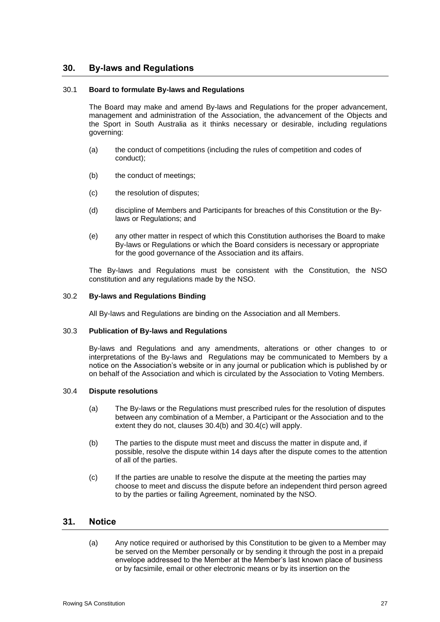# **30. By-laws and Regulations**

#### 30.1 **Board to formulate By-laws and Regulations**

The Board may make and amend By-laws and Regulations for the proper advancement, management and administration of the Association, the advancement of the Objects and the Sport in South Australia as it thinks necessary or desirable, including regulations governing:

- (a) the conduct of competitions (including the rules of competition and codes of conduct);
- (b) the conduct of meetings;
- (c) the resolution of disputes;
- (d) discipline of Members and Participants for breaches of this Constitution or the Bylaws or Regulations; and
- (e) any other matter in respect of which this Constitution authorises the Board to make By-laws or Regulations or which the Board considers is necessary or appropriate for the good governance of the Association and its affairs.

The By-laws and Regulations must be consistent with the Constitution, the NSO constitution and any regulations made by the NSO.

#### 30.2 **By-laws and Regulations Binding**

All By-laws and Regulations are binding on the Association and all Members.

#### 30.3 **Publication of By-laws and Regulations**

By-laws and Regulations and any amendments, alterations or other changes to or interpretations of the By-laws and Regulations may be communicated to Members by a notice on the Association's website or in any journal or publication which is published by or on behalf of the Association and which is circulated by the Association to Voting Members.

#### 30.4 **Dispute resolutions**

- (a) The By-laws or the Regulations must prescribed rules for the resolution of disputes between any combination of a Member, a Participant or the Association and to the extent they do not, clauses [30.4\(b\)](#page-30-0) and [30.4\(c\)](#page-30-1) will apply.
- <span id="page-30-0"></span>(b) The parties to the dispute must meet and discuss the matter in dispute and, if possible, resolve the dispute within 14 days after the dispute comes to the attention of all of the parties.
- <span id="page-30-1"></span>(c) If the parties are unable to resolve the dispute at the meeting the parties may choose to meet and discuss the dispute before an independent third person agreed to by the parties or failing Agreement, nominated by the NSO.

# **31. Notice**

(a) Any notice required or authorised by this Constitution to be given to a Member may be served on the Member personally or by sending it through the post in a prepaid envelope addressed to the Member at the Member's last known place of business or by facsimile, email or other electronic means or by its insertion on the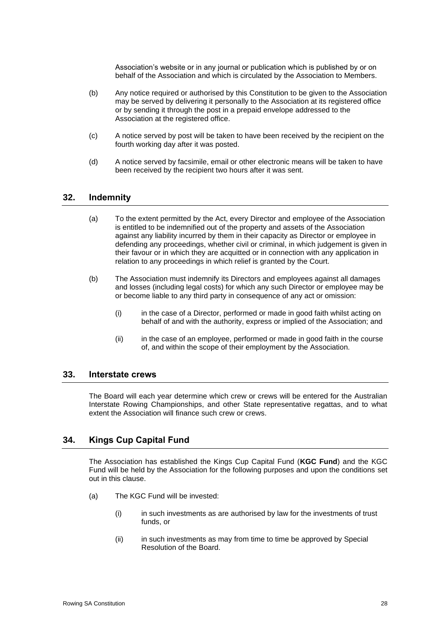Association's website or in any journal or publication which is published by or on behalf of the Association and which is circulated by the Association to Members.

- (b) Any notice required or authorised by this Constitution to be given to the Association may be served by delivering it personally to the Association at its registered office or by sending it through the post in a prepaid envelope addressed to the Association at the registered office.
- (c) A notice served by post will be taken to have been received by the recipient on the fourth working day after it was posted.
- (d) A notice served by facsimile, email or other electronic means will be taken to have been received by the recipient two hours after it was sent.

#### **32. Indemnity**

- (a) To the extent permitted by the Act, every Director and employee of the Association is entitled to be indemnified out of the property and assets of the Association against any liability incurred by them in their capacity as Director or employee in defending any proceedings, whether civil or criminal, in which judgement is given in their favour or in which they are acquitted or in connection with any application in relation to any proceedings in which relief is granted by the Court.
- (b) The Association must indemnify its Directors and employees against all damages and losses (including legal costs) for which any such Director or employee may be or become liable to any third party in consequence of any act or omission:
	- (i) in the case of a Director, performed or made in good faith whilst acting on behalf of and with the authority, express or implied of the Association; and
	- (ii) in the case of an employee, performed or made in good faith in the course of, and within the scope of their employment by the Association.

#### **33. Interstate crews**

The Board will each year determine which crew or crews will be entered for the Australian Interstate Rowing Championships, and other State representative regattas, and to what extent the Association will finance such crew or crews.

# <span id="page-31-0"></span>**34. Kings Cup Capital Fund**

The Association has established the Kings Cup Capital Fund (**KGC Fund**) and the KGC Fund will be held by the Association for the following purposes and upon the conditions set out in this clause.

- <span id="page-31-1"></span>(a) The KGC Fund will be invested:
	- (i) in such investments as are authorised by law for the investments of trust funds, or
	- (ii) in such investments as may from time to time be approved by Special Resolution of the Board.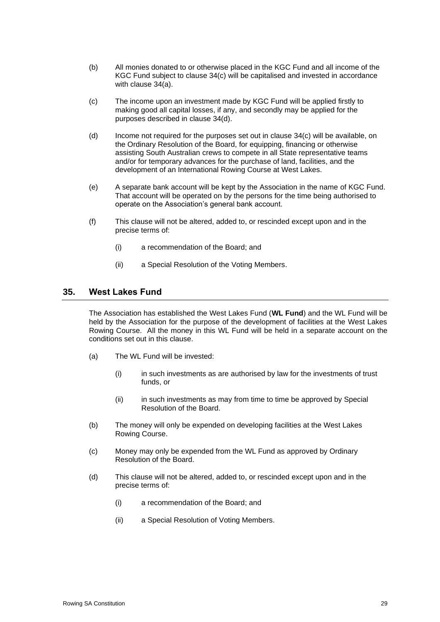- (b) All monies donated to or otherwise placed in the KGC Fund and all income of the KGC Fund subject to clause [34\(c\)](#page-32-1) will be capitalised and invested in accordance with clause [34\(a\).](#page-31-1)
- <span id="page-32-1"></span>(c) The income upon an investment made by KGC Fund will be applied firstly to making good all capital losses, if any, and secondly may be applied for the purposes described in clause [34\(d\).](#page-32-2)
- <span id="page-32-2"></span>(d) Income not required for the purposes set out in clause [34\(c\)](#page-32-1) will be available, on the Ordinary Resolution of the Board, for equipping, financing or otherwise assisting South Australian crews to compete in all State representative teams and/or for temporary advances for the purchase of land, facilities, and the development of an International Rowing Course at West Lakes.
- (e) A separate bank account will be kept by the Association in the name of KGC Fund. That account will be operated on by the persons for the time being authorised to operate on the Association's general bank account.
- (f) This clause will not be altered, added to, or rescinded except upon and in the precise terms of:
	- (i) a recommendation of the Board; and
	- (ii) a Special Resolution of the Voting Members.

# <span id="page-32-0"></span>**35. West Lakes Fund**

The Association has established the West Lakes Fund (**WL Fund**) and the WL Fund will be held by the Association for the purpose of the development of facilities at the West Lakes Rowing Course. All the money in this WL Fund will be held in a separate account on the conditions set out in this clause.

- (a) The WL Fund will be invested:
	- (i) in such investments as are authorised by law for the investments of trust funds, or
	- (ii) in such investments as may from time to time be approved by Special Resolution of the Board.
- (b) The money will only be expended on developing facilities at the West Lakes Rowing Course.
- (c) Money may only be expended from the WL Fund as approved by Ordinary Resolution of the Board.
- (d) This clause will not be altered, added to, or rescinded except upon and in the precise terms of:
	- (i) a recommendation of the Board; and
	- (ii) a Special Resolution of Voting Members.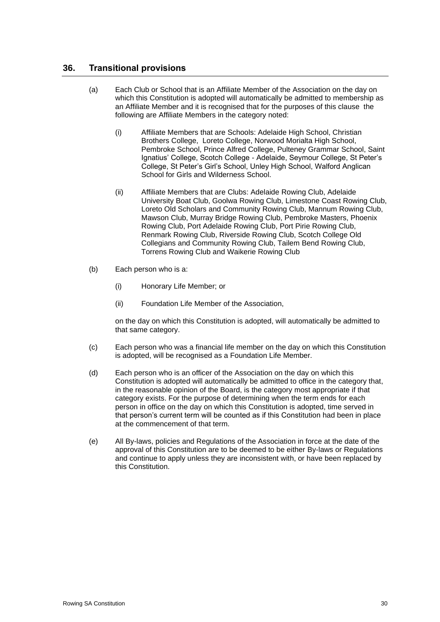# **36. Transitional provisions**

- (a) Each Club or School that is an Affiliate Member of the Association on the day on which this Constitution is adopted will automatically be admitted to membership as an Affiliate Member and it is recognised that for the purposes of this clause the following are Affiliate Members in the category noted:
	- (i) Affiliate Members that are Schools: Adelaide High School, Christian Brothers College, Loreto College, Norwood Morialta High School, Pembroke School, Prince Alfred College, Pulteney Grammar School, Saint Ignatius' College, Scotch College - Adelaide, Seymour College, St Peter's College, St Peter's Girl's School, Unley High School, Walford Anglican School for Girls and Wilderness School.
	- (ii) Affiliate Members that are Clubs: Adelaide Rowing Club, Adelaide University Boat Club, Goolwa Rowing Club, Limestone Coast Rowing Club, Loreto Old Scholars and Community Rowing Club, Mannum Rowing Club, Mawson Club, Murray Bridge Rowing Club, Pembroke Masters, Phoenix Rowing Club, Port Adelaide Rowing Club, Port Pirie Rowing Club, Renmark Rowing Club, Riverside Rowing Club, Scotch College Old Collegians and Community Rowing Club, Tailem Bend Rowing Club, Torrens Rowing Club and Waikerie Rowing Club
- (b) Each person who is a:
	- (i) Honorary Life Member; or
	- (ii) Foundation Life Member of the Association,

on the day on which this Constitution is adopted, will automatically be admitted to that same category.

- (c) Each person who was a financial life member on the day on which this Constitution is adopted, will be recognised as a Foundation Life Member.
- (d) Each person who is an officer of the Association on the day on which this Constitution is adopted will automatically be admitted to office in the category that, in the reasonable opinion of the Board, is the category most appropriate if that category exists. For the purpose of determining when the term ends for each person in office on the day on which this Constitution is adopted, time served in that person's current term will be counted as if this Constitution had been in place at the commencement of that term.
- (e) All By-laws, policies and Regulations of the Association in force at the date of the approval of this Constitution are to be deemed to be either By-laws or Regulations and continue to apply unless they are inconsistent with, or have been replaced by this Constitution.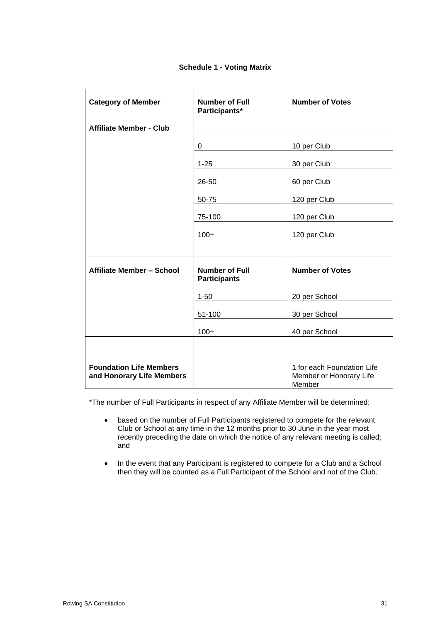| <b>Schedule 1 - Voting Matrix</b> |  |  |  |
|-----------------------------------|--|--|--|
|-----------------------------------|--|--|--|

| <b>Category of Member</b>                                   | <b>Number of Full</b><br>Participants*       | <b>Number of Votes</b>                                          |
|-------------------------------------------------------------|----------------------------------------------|-----------------------------------------------------------------|
| <b>Affiliate Member - Club</b>                              |                                              |                                                                 |
|                                                             | $\Omega$                                     | 10 per Club                                                     |
|                                                             | $1 - 25$                                     | 30 per Club                                                     |
|                                                             | 26-50                                        | 60 per Club                                                     |
|                                                             | 50-75                                        | 120 per Club                                                    |
|                                                             | 75-100                                       | 120 per Club                                                    |
|                                                             | $100+$                                       | 120 per Club                                                    |
|                                                             |                                              |                                                                 |
| Affiliate Member - School                                   | <b>Number of Full</b><br><b>Participants</b> | <b>Number of Votes</b>                                          |
|                                                             | $1 - 50$                                     | 20 per School                                                   |
|                                                             | 51-100                                       | 30 per School                                                   |
|                                                             | $100+$                                       | 40 per School                                                   |
|                                                             |                                              |                                                                 |
| <b>Foundation Life Members</b><br>and Honorary Life Members |                                              | 1 for each Foundation Life<br>Member or Honorary Life<br>Member |

\*The number of Full Participants in respect of any Affiliate Member will be determined:

- based on the number of Full Participants registered to compete for the relevant Club or School at any time in the 12 months prior to 30 June in the year most recently preceding the date on which the notice of any relevant meeting is called; and
- In the event that any Participant is registered to compete for a Club and a School then they will be counted as a Full Participant of the School and not of the Club.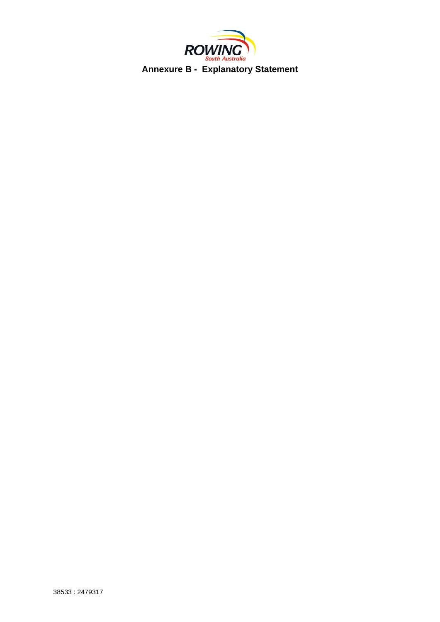

**Annexure B - Explanatory Statement**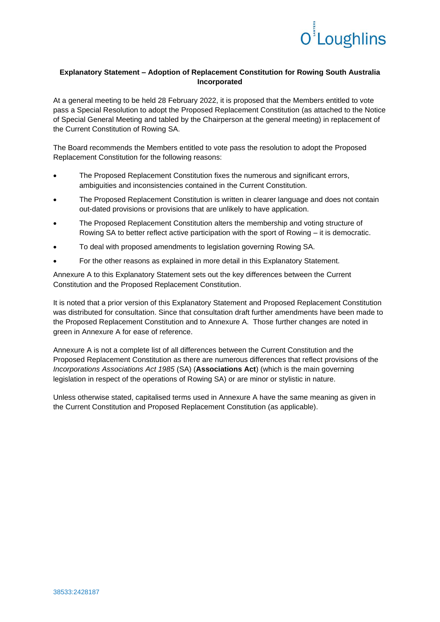

### **Explanatory Statement – Adoption of Replacement Constitution for Rowing South Australia Incorporated**

At a general meeting to be held 28 February 2022, it is proposed that the Members entitled to vote pass a Special Resolution to adopt the Proposed Replacement Constitution (as attached to the Notice of Special General Meeting and tabled by the Chairperson at the general meeting) in replacement of the Current Constitution of Rowing SA.

The Board recommends the Members entitled to vote pass the resolution to adopt the Proposed Replacement Constitution for the following reasons:

- The Proposed Replacement Constitution fixes the numerous and significant errors, ambiguities and inconsistencies contained in the Current Constitution.
- The Proposed Replacement Constitution is written in clearer language and does not contain out-dated provisions or provisions that are unlikely to have application.
- The Proposed Replacement Constitution alters the membership and voting structure of Rowing SA to better reflect active participation with the sport of Rowing – it is democratic.
- To deal with proposed amendments to legislation governing Rowing SA.
- For the other reasons as explained in more detail in this Explanatory Statement.

Annexure A to this Explanatory Statement sets out the key differences between the Current Constitution and the Proposed Replacement Constitution.

It is noted that a prior version of this Explanatory Statement and Proposed Replacement Constitution was distributed for consultation. Since that consultation draft further amendments have been made to the Proposed Replacement Constitution and to Annexure A. Those further changes are noted in green in Annexure A for ease of reference.

Annexure A is not a complete list of all differences between the Current Constitution and the Proposed Replacement Constitution as there are numerous differences that reflect provisions of the *Incorporations Associations Act 1985* (SA) (**Associations Act**) (which is the main governing legislation in respect of the operations of Rowing SA) or are minor or stylistic in nature.

Unless otherwise stated, capitalised terms used in Annexure A have the same meaning as given in the Current Constitution and Proposed Replacement Constitution (as applicable).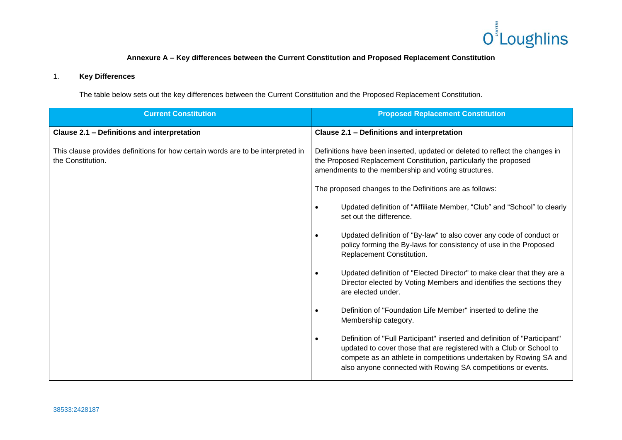

# **Annexure A – Key differences between the Current Constitution and Proposed Replacement Constitution**

## 1. **Key Differences**

The table below sets out the key differences between the Current Constitution and the Proposed Replacement Constitution.

| <b>Current Constitution</b>                                                                          | <b>Proposed Replacement Constitution</b>                                                                                                                                                                                                                                                           |  |
|------------------------------------------------------------------------------------------------------|----------------------------------------------------------------------------------------------------------------------------------------------------------------------------------------------------------------------------------------------------------------------------------------------------|--|
| Clause 2.1 - Definitions and interpretation                                                          | Clause 2.1 - Definitions and interpretation                                                                                                                                                                                                                                                        |  |
| This clause provides definitions for how certain words are to be interpreted in<br>the Constitution. | Definitions have been inserted, updated or deleted to reflect the changes in<br>the Proposed Replacement Constitution, particularly the proposed<br>amendments to the membership and voting structures.                                                                                            |  |
|                                                                                                      | The proposed changes to the Definitions are as follows:                                                                                                                                                                                                                                            |  |
|                                                                                                      | Updated definition of "Affiliate Member, "Club" and "School" to clearly<br>set out the difference.                                                                                                                                                                                                 |  |
|                                                                                                      | Updated definition of "By-law" to also cover any code of conduct or<br>$\bullet$<br>policy forming the By-laws for consistency of use in the Proposed<br>Replacement Constitution.                                                                                                                 |  |
|                                                                                                      | Updated definition of "Elected Director" to make clear that they are a<br>$\bullet$<br>Director elected by Voting Members and identifies the sections they<br>are elected under.                                                                                                                   |  |
|                                                                                                      | Definition of "Foundation Life Member" inserted to define the<br>Membership category.                                                                                                                                                                                                              |  |
|                                                                                                      | Definition of "Full Participant" inserted and definition of "Participant"<br>$\bullet$<br>updated to cover those that are registered with a Club or School to<br>compete as an athlete in competitions undertaken by Rowing SA and<br>also anyone connected with Rowing SA competitions or events. |  |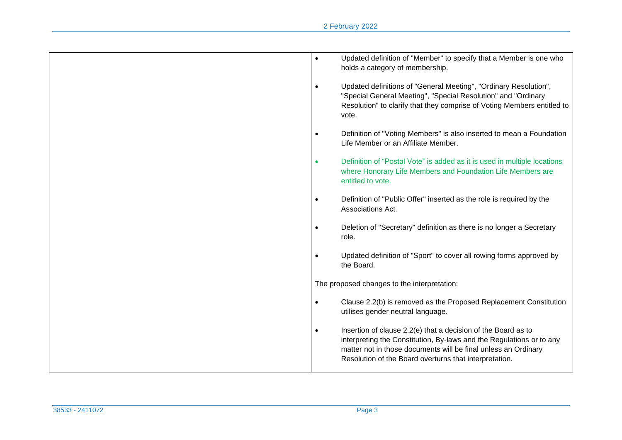| Updated definition of "Member" to specify that a Member is one who<br>$\bullet$<br>holds a category of membership.                                                                                                                                                             |
|--------------------------------------------------------------------------------------------------------------------------------------------------------------------------------------------------------------------------------------------------------------------------------|
| Updated definitions of "General Meeting", "Ordinary Resolution",<br>$\bullet$<br>"Special General Meeting", "Special Resolution" and "Ordinary<br>Resolution" to clarify that they comprise of Voting Members entitled to<br>vote.                                             |
| Definition of "Voting Members" is also inserted to mean a Foundation<br>$\bullet$<br>Life Member or an Affiliate Member.                                                                                                                                                       |
| Definition of "Postal Vote" is added as it is used in multiple locations<br>$\bullet$<br>where Honorary Life Members and Foundation Life Members are<br>entitled to vote.                                                                                                      |
| Definition of "Public Offer" inserted as the role is required by the<br>$\bullet$<br>Associations Act.                                                                                                                                                                         |
| Deletion of "Secretary" definition as there is no longer a Secretary<br>$\bullet$<br>role.                                                                                                                                                                                     |
| Updated definition of "Sport" to cover all rowing forms approved by<br>$\bullet$<br>the Board.                                                                                                                                                                                 |
| The proposed changes to the interpretation:                                                                                                                                                                                                                                    |
| Clause 2.2(b) is removed as the Proposed Replacement Constitution<br>$\bullet$<br>utilises gender neutral language.                                                                                                                                                            |
| Insertion of clause 2.2(e) that a decision of the Board as to<br>$\bullet$<br>interpreting the Constitution, By-laws and the Regulations or to any<br>matter not in those documents will be final unless an Ordinary<br>Resolution of the Board overturns that interpretation. |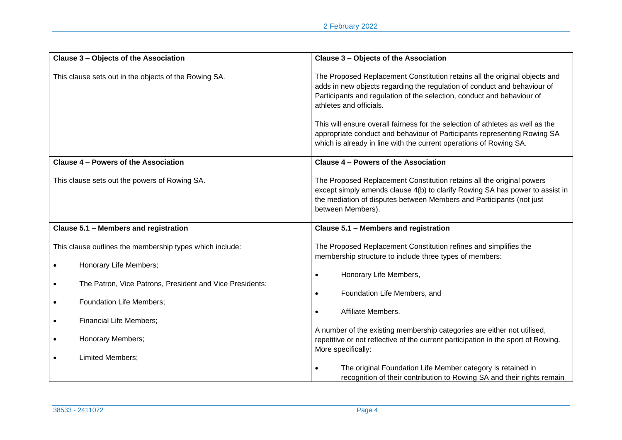| Clause 3 - Objects of the Association                                 | Clause 3 - Objects of the Association                                                                                                                                                                                                                                                                                                                                                                                                                                                           |  |
|-----------------------------------------------------------------------|-------------------------------------------------------------------------------------------------------------------------------------------------------------------------------------------------------------------------------------------------------------------------------------------------------------------------------------------------------------------------------------------------------------------------------------------------------------------------------------------------|--|
| This clause sets out in the objects of the Rowing SA.                 | The Proposed Replacement Constitution retains all the original objects and<br>adds in new objects regarding the regulation of conduct and behaviour of<br>Participants and regulation of the selection, conduct and behaviour of<br>athletes and officials.<br>This will ensure overall fairness for the selection of athletes as well as the<br>appropriate conduct and behaviour of Participants representing Rowing SA<br>which is already in line with the current operations of Rowing SA. |  |
| Clause 4 - Powers of the Association                                  | Clause 4 - Powers of the Association                                                                                                                                                                                                                                                                                                                                                                                                                                                            |  |
| This clause sets out the powers of Rowing SA.                         | The Proposed Replacement Constitution retains all the original powers<br>except simply amends clause 4(b) to clarify Rowing SA has power to assist in<br>the mediation of disputes between Members and Participants (not just<br>between Members).                                                                                                                                                                                                                                              |  |
| Clause 5.1 - Members and registration                                 | Clause 5.1 - Members and registration                                                                                                                                                                                                                                                                                                                                                                                                                                                           |  |
| This clause outlines the membership types which include:              | The Proposed Replacement Constitution refines and simplifies the<br>membership structure to include three types of members:                                                                                                                                                                                                                                                                                                                                                                     |  |
| Honorary Life Members;<br>$\bullet$                                   |                                                                                                                                                                                                                                                                                                                                                                                                                                                                                                 |  |
| The Patron, Vice Patrons, President and Vice Presidents;<br>$\bullet$ | Honorary Life Members,<br>Foundation Life Members, and<br>$\bullet$                                                                                                                                                                                                                                                                                                                                                                                                                             |  |
| Foundation Life Members;<br>$\bullet$                                 | Affiliate Members.                                                                                                                                                                                                                                                                                                                                                                                                                                                                              |  |
| <b>Financial Life Members;</b><br>$\bullet$                           |                                                                                                                                                                                                                                                                                                                                                                                                                                                                                                 |  |
| Honorary Members;<br>$\bullet$                                        | A number of the existing membership categories are either not utilised,<br>repetitive or not reflective of the current participation in the sport of Rowing.<br>More specifically:                                                                                                                                                                                                                                                                                                              |  |
| Limited Members;<br>$\bullet$                                         | The original Foundation Life Member category is retained in<br>recognition of their contribution to Rowing SA and their rights remain                                                                                                                                                                                                                                                                                                                                                           |  |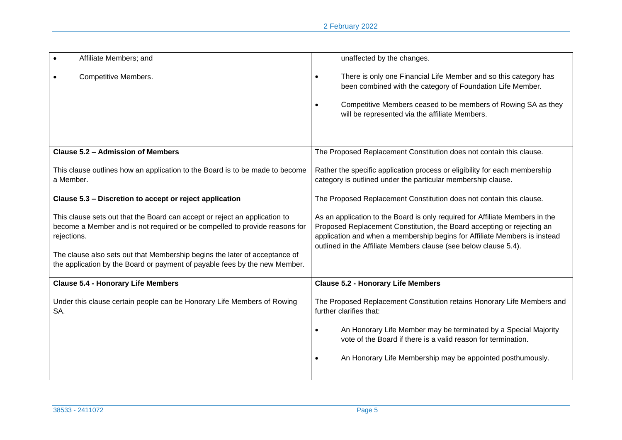| Affiliate Members; and                                                                                                                                                                                                                                                                                                              | unaffected by the changes.                                                                                                                                                                                                                                                                              |
|-------------------------------------------------------------------------------------------------------------------------------------------------------------------------------------------------------------------------------------------------------------------------------------------------------------------------------------|---------------------------------------------------------------------------------------------------------------------------------------------------------------------------------------------------------------------------------------------------------------------------------------------------------|
| <b>Competitive Members.</b>                                                                                                                                                                                                                                                                                                         | There is only one Financial Life Member and so this category has<br>been combined with the category of Foundation Life Member.<br>Competitive Members ceased to be members of Rowing SA as they<br>will be represented via the affiliate Members.                                                       |
| <b>Clause 5.2 - Admission of Members</b>                                                                                                                                                                                                                                                                                            | The Proposed Replacement Constitution does not contain this clause.                                                                                                                                                                                                                                     |
| This clause outlines how an application to the Board is to be made to become<br>a Member.                                                                                                                                                                                                                                           | Rather the specific application process or eligibility for each membership<br>category is outlined under the particular membership clause.                                                                                                                                                              |
| Clause 5.3 - Discretion to accept or reject application                                                                                                                                                                                                                                                                             | The Proposed Replacement Constitution does not contain this clause.                                                                                                                                                                                                                                     |
| This clause sets out that the Board can accept or reject an application to<br>become a Member and is not required or be compelled to provide reasons for<br>rejections.<br>The clause also sets out that Membership begins the later of acceptance of<br>the application by the Board or payment of payable fees by the new Member. | As an application to the Board is only required for Affiliate Members in the<br>Proposed Replacement Constitution, the Board accepting or rejecting an<br>application and when a membership begins for Affiliate Members is instead<br>outlined in the Affiliate Members clause (see below clause 5.4). |
| <b>Clause 5.4 - Honorary Life Members</b>                                                                                                                                                                                                                                                                                           | <b>Clause 5.2 - Honorary Life Members</b>                                                                                                                                                                                                                                                               |
| Under this clause certain people can be Honorary Life Members of Rowing<br>SA.                                                                                                                                                                                                                                                      | The Proposed Replacement Constitution retains Honorary Life Members and<br>further clarifies that:<br>An Honorary Life Member may be terminated by a Special Majority<br>vote of the Board if there is a valid reason for termination.<br>An Honorary Life Membership may be appointed posthumously.    |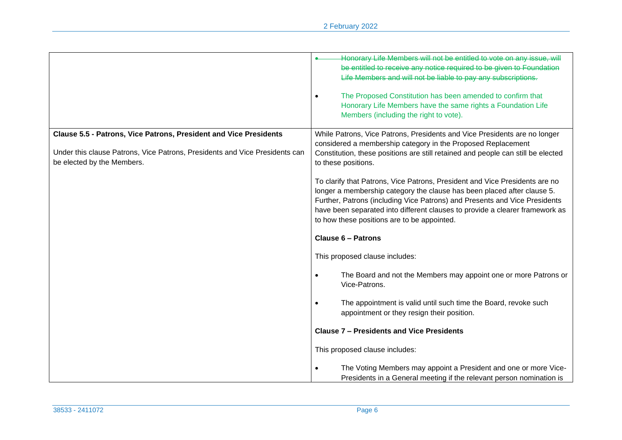|                                                                             | Honorary Life Members will not be entitled to vote on any issue, will                                                                 |
|-----------------------------------------------------------------------------|---------------------------------------------------------------------------------------------------------------------------------------|
|                                                                             | be entitled to receive any notice required to be given to Foundation<br>Life Members and will not be liable to pay any subscriptions. |
|                                                                             |                                                                                                                                       |
|                                                                             | The Proposed Constitution has been amended to confirm that                                                                            |
|                                                                             | Honorary Life Members have the same rights a Foundation Life                                                                          |
|                                                                             | Members (including the right to vote).                                                                                                |
| Clause 5.5 - Patrons, Vice Patrons, President and Vice Presidents           | While Patrons, Vice Patrons, Presidents and Vice Presidents are no longer                                                             |
|                                                                             | considered a membership category in the Proposed Replacement                                                                          |
| Under this clause Patrons, Vice Patrons, Presidents and Vice Presidents can | Constitution, these positions are still retained and people can still be elected                                                      |
| be elected by the Members.                                                  | to these positions.                                                                                                                   |
|                                                                             | To clarify that Patrons, Vice Patrons, President and Vice Presidents are no                                                           |
|                                                                             | longer a membership category the clause has been placed after clause 5.                                                               |
|                                                                             | Further, Patrons (including Vice Patrons) and Presents and Vice Presidents                                                            |
|                                                                             | have been separated into different clauses to provide a clearer framework as                                                          |
|                                                                             | to how these positions are to be appointed.                                                                                           |
|                                                                             | <b>Clause 6 - Patrons</b>                                                                                                             |
|                                                                             | This proposed clause includes:                                                                                                        |
|                                                                             | The Board and not the Members may appoint one or more Patrons or<br>Vice-Patrons.                                                     |
|                                                                             | The appointment is valid until such time the Board, revoke such<br>appointment or they resign their position.                         |
|                                                                             | <b>Clause 7 - Presidents and Vice Presidents</b>                                                                                      |
|                                                                             | This proposed clause includes:                                                                                                        |
|                                                                             | The Voting Members may appoint a President and one or more Vice-                                                                      |
|                                                                             | Presidents in a General meeting if the relevant person nomination is                                                                  |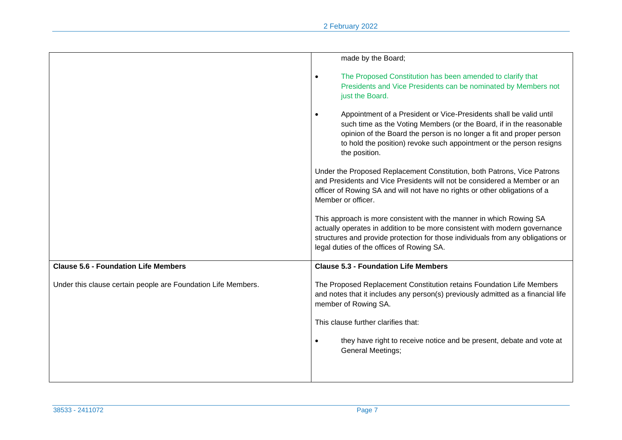|                                                               | made by the Board;                                                                                                                                                                                                                                                                                                     |
|---------------------------------------------------------------|------------------------------------------------------------------------------------------------------------------------------------------------------------------------------------------------------------------------------------------------------------------------------------------------------------------------|
|                                                               | The Proposed Constitution has been amended to clarify that<br>$\bullet$<br>Presidents and Vice Presidents can be nominated by Members not<br>just the Board.                                                                                                                                                           |
|                                                               | Appointment of a President or Vice-Presidents shall be valid until<br>$\bullet$<br>such time as the Voting Members (or the Board, if in the reasonable<br>opinion of the Board the person is no longer a fit and proper person<br>to hold the position) revoke such appointment or the person resigns<br>the position. |
|                                                               | Under the Proposed Replacement Constitution, both Patrons, Vice Patrons<br>and Presidents and Vice Presidents will not be considered a Member or an<br>officer of Rowing SA and will not have no rights or other obligations of a<br>Member or officer.                                                                |
|                                                               | This approach is more consistent with the manner in which Rowing SA<br>actually operates in addition to be more consistent with modern governance<br>structures and provide protection for those individuals from any obligations or<br>legal duties of the offices of Rowing SA.                                      |
| <b>Clause 5.6 - Foundation Life Members</b>                   | <b>Clause 5.3 - Foundation Life Members</b>                                                                                                                                                                                                                                                                            |
| Under this clause certain people are Foundation Life Members. | The Proposed Replacement Constitution retains Foundation Life Members<br>and notes that it includes any person(s) previously admitted as a financial life<br>member of Rowing SA.                                                                                                                                      |
|                                                               | This clause further clarifies that:                                                                                                                                                                                                                                                                                    |
|                                                               | they have right to receive notice and be present, debate and vote at<br><b>General Meetings;</b>                                                                                                                                                                                                                       |
|                                                               |                                                                                                                                                                                                                                                                                                                        |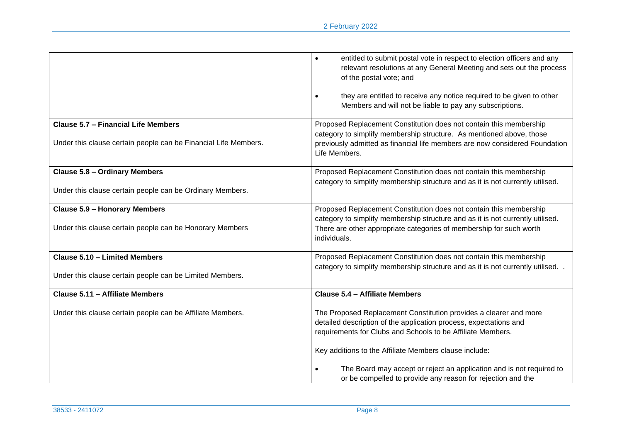|                                                                                                               | entitled to submit postal vote in respect to election officers and any<br>$\bullet$<br>relevant resolutions at any General Meeting and sets out the process<br>of the postal vote; and<br>they are entitled to receive any notice required to be given to other<br>$\bullet$<br>Members and will not be liable to pay any subscriptions. |
|---------------------------------------------------------------------------------------------------------------|------------------------------------------------------------------------------------------------------------------------------------------------------------------------------------------------------------------------------------------------------------------------------------------------------------------------------------------|
| <b>Clause 5.7 - Financial Life Members</b><br>Under this clause certain people can be Financial Life Members. | Proposed Replacement Constitution does not contain this membership<br>category to simplify membership structure. As mentioned above, those<br>previously admitted as financial life members are now considered Foundation<br>Life Members.                                                                                               |
| <b>Clause 5.8 - Ordinary Members</b><br>Under this clause certain people can be Ordinary Members.             | Proposed Replacement Constitution does not contain this membership<br>category to simplify membership structure and as it is not currently utilised.                                                                                                                                                                                     |
| <b>Clause 5.9 - Honorary Members</b><br>Under this clause certain people can be Honorary Members              | Proposed Replacement Constitution does not contain this membership<br>category to simplify membership structure and as it is not currently utilised.<br>There are other appropriate categories of membership for such worth<br>individuals.                                                                                              |
| Clause 5.10 - Limited Members<br>Under this clause certain people can be Limited Members.                     | Proposed Replacement Constitution does not contain this membership<br>category to simplify membership structure and as it is not currently utilised. .                                                                                                                                                                                   |
| Clause 5.11 - Affiliate Members                                                                               | Clause 5.4 - Affiliate Members                                                                                                                                                                                                                                                                                                           |
| Under this clause certain people can be Affiliate Members.                                                    | The Proposed Replacement Constitution provides a clearer and more<br>detailed description of the application process, expectations and<br>requirements for Clubs and Schools to be Affiliate Members.<br>Key additions to the Affiliate Members clause include:                                                                          |
|                                                                                                               | The Board may accept or reject an application and is not required to<br>or be compelled to provide any reason for rejection and the                                                                                                                                                                                                      |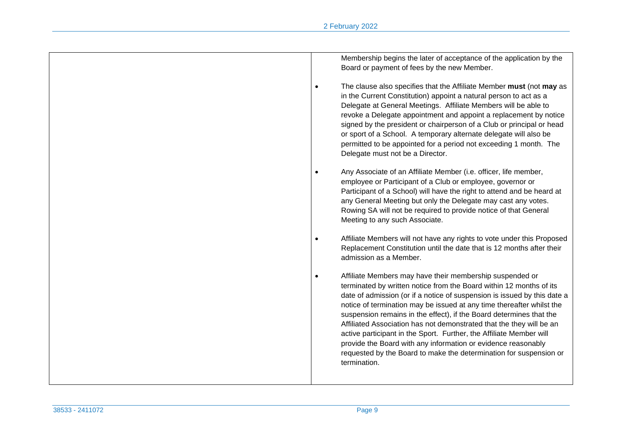| Membership begins the later of acceptance of the application by the<br>Board or payment of fees by the new Member.                                                                                                                                                                                                                                                                                                                                                                                                                                                                                                                                                             |
|--------------------------------------------------------------------------------------------------------------------------------------------------------------------------------------------------------------------------------------------------------------------------------------------------------------------------------------------------------------------------------------------------------------------------------------------------------------------------------------------------------------------------------------------------------------------------------------------------------------------------------------------------------------------------------|
| The clause also specifies that the Affiliate Member must (not may as<br>$\bullet$<br>in the Current Constitution) appoint a natural person to act as a<br>Delegate at General Meetings. Affiliate Members will be able to<br>revoke a Delegate appointment and appoint a replacement by notice<br>signed by the president or chairperson of a Club or principal or head<br>or sport of a School. A temporary alternate delegate will also be<br>permitted to be appointed for a period not exceeding 1 month. The<br>Delegate must not be a Director.                                                                                                                          |
| Any Associate of an Affiliate Member (i.e. officer, life member,<br>$\bullet$<br>employee or Participant of a Club or employee, governor or<br>Participant of a School) will have the right to attend and be heard at<br>any General Meeting but only the Delegate may cast any votes.<br>Rowing SA will not be required to provide notice of that General<br>Meeting to any such Associate.                                                                                                                                                                                                                                                                                   |
| Affiliate Members will not have any rights to vote under this Proposed<br>$\bullet$<br>Replacement Constitution until the date that is 12 months after their<br>admission as a Member.                                                                                                                                                                                                                                                                                                                                                                                                                                                                                         |
| Affiliate Members may have their membership suspended or<br>$\bullet$<br>terminated by written notice from the Board within 12 months of its<br>date of admission (or if a notice of suspension is issued by this date a<br>notice of termination may be issued at any time thereafter whilst the<br>suspension remains in the effect), if the Board determines that the<br>Affiliated Association has not demonstrated that the they will be an<br>active participant in the Sport. Further, the Affiliate Member will<br>provide the Board with any information or evidence reasonably<br>requested by the Board to make the determination for suspension or<br>termination. |
|                                                                                                                                                                                                                                                                                                                                                                                                                                                                                                                                                                                                                                                                                |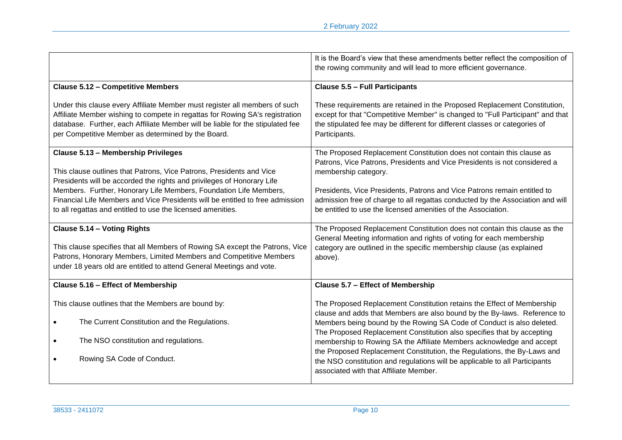|                                                                                | It is the Board's view that these amendments better reflect the composition of                                                                     |
|--------------------------------------------------------------------------------|----------------------------------------------------------------------------------------------------------------------------------------------------|
|                                                                                | the rowing community and will lead to more efficient governance.                                                                                   |
|                                                                                |                                                                                                                                                    |
| <b>Clause 5.12 - Competitive Members</b>                                       | <b>Clause 5.5 - Full Participants</b>                                                                                                              |
| Under this clause every Affiliate Member must register all members of such     | These requirements are retained in the Proposed Replacement Constitution,                                                                          |
| Affiliate Member wishing to compete in regattas for Rowing SA's registration   | except for that "Competitive Member" is changed to "Full Participant" and that                                                                     |
| database. Further, each Affiliate Member will be liable for the stipulated fee | the stipulated fee may be different for different classes or categories of                                                                         |
| per Competitive Member as determined by the Board.                             | Participants.                                                                                                                                      |
| Clause 5.13 - Membership Privileges                                            | The Proposed Replacement Constitution does not contain this clause as                                                                              |
| This clause outlines that Patrons, Vice Patrons, Presidents and Vice           | Patrons, Vice Patrons, Presidents and Vice Presidents is not considered a                                                                          |
| Presidents will be accorded the rights and privileges of Honorary Life         | membership category.                                                                                                                               |
| Members. Further, Honorary Life Members, Foundation Life Members,              | Presidents, Vice Presidents, Patrons and Vice Patrons remain entitled to                                                                           |
| Financial Life Members and Vice Presidents will be entitled to free admission  | admission free of charge to all regattas conducted by the Association and will                                                                     |
| to all regattas and entitled to use the licensed amenities.                    | be entitled to use the licensed amenities of the Association.                                                                                      |
| Clause 5.14 - Voting Rights                                                    | The Proposed Replacement Constitution does not contain this clause as the                                                                          |
| This clause specifies that all Members of Rowing SA except the Patrons, Vice   | General Meeting information and rights of voting for each membership                                                                               |
| Patrons, Honorary Members, Limited Members and Competitive Members             | category are outlined in the specific membership clause (as explained                                                                              |
| under 18 years old are entitled to attend General Meetings and vote.           | above).                                                                                                                                            |
| Clause 5.16 - Effect of Membership                                             | Clause 5.7 - Effect of Membership                                                                                                                  |
| This clause outlines that the Members are bound by:                            | The Proposed Replacement Constitution retains the Effect of Membership<br>clause and adds that Members are also bound by the By-laws. Reference to |
| The Current Constitution and the Regulations.                                  | Members being bound by the Rowing SA Code of Conduct is also deleted.                                                                              |
| $\bullet$                                                                      | The Proposed Replacement Constitution also specifies that by accepting                                                                             |
| The NSO constitution and regulations.                                          | membership to Rowing SA the Affiliate Members acknowledge and accept                                                                               |
| $\bullet$                                                                      | the Proposed Replacement Constitution, the Regulations, the By-Laws and                                                                            |
| Rowing SA Code of Conduct.                                                     | the NSO constitution and regulations will be applicable to all Participants                                                                        |
| $\bullet$                                                                      | associated with that Affiliate Member.                                                                                                             |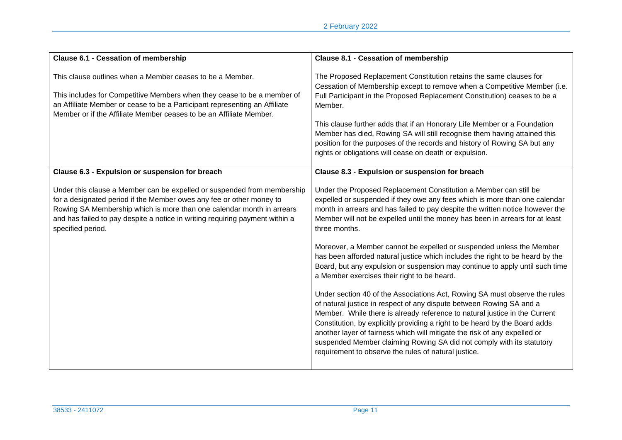| <b>Clause 6.1 - Cessation of membership</b>                                                                                                                                                                                                                                                                                   | <b>Clause 8.1 - Cessation of membership</b>                                                                                                                                                                                                                                                                                                                                                                                                                                                                                                                                                                                                                                                                                                                                                                                                                                                                                                                                                                                                                                                                                                                |
|-------------------------------------------------------------------------------------------------------------------------------------------------------------------------------------------------------------------------------------------------------------------------------------------------------------------------------|------------------------------------------------------------------------------------------------------------------------------------------------------------------------------------------------------------------------------------------------------------------------------------------------------------------------------------------------------------------------------------------------------------------------------------------------------------------------------------------------------------------------------------------------------------------------------------------------------------------------------------------------------------------------------------------------------------------------------------------------------------------------------------------------------------------------------------------------------------------------------------------------------------------------------------------------------------------------------------------------------------------------------------------------------------------------------------------------------------------------------------------------------------|
| This clause outlines when a Member ceases to be a Member.<br>This includes for Competitive Members when they cease to be a member of<br>an Affiliate Member or cease to be a Participant representing an Affiliate<br>Member or if the Affiliate Member ceases to be an Affiliate Member.                                     | The Proposed Replacement Constitution retains the same clauses for<br>Cessation of Membership except to remove when a Competitive Member (i.e.<br>Full Participant in the Proposed Replacement Constitution) ceases to be a<br>Member.<br>This clause further adds that if an Honorary Life Member or a Foundation<br>Member has died, Rowing SA will still recognise them having attained this<br>position for the purposes of the records and history of Rowing SA but any<br>rights or obligations will cease on death or expulsion.                                                                                                                                                                                                                                                                                                                                                                                                                                                                                                                                                                                                                    |
| Clause 6.3 - Expulsion or suspension for breach                                                                                                                                                                                                                                                                               | Clause 8.3 - Expulsion or suspension for breach                                                                                                                                                                                                                                                                                                                                                                                                                                                                                                                                                                                                                                                                                                                                                                                                                                                                                                                                                                                                                                                                                                            |
| Under this clause a Member can be expelled or suspended from membership<br>for a designated period if the Member owes any fee or other money to<br>Rowing SA Membership which is more than one calendar month in arrears<br>and has failed to pay despite a notice in writing requiring payment within a<br>specified period. | Under the Proposed Replacement Constitution a Member can still be<br>expelled or suspended if they owe any fees which is more than one calendar<br>month in arrears and has failed to pay despite the written notice however the<br>Member will not be expelled until the money has been in arrears for at least<br>three months.<br>Moreover, a Member cannot be expelled or suspended unless the Member<br>has been afforded natural justice which includes the right to be heard by the<br>Board, but any expulsion or suspension may continue to apply until such time<br>a Member exercises their right to be heard.<br>Under section 40 of the Associations Act, Rowing SA must observe the rules<br>of natural justice in respect of any dispute between Rowing SA and a<br>Member. While there is already reference to natural justice in the Current<br>Constitution, by explicitly providing a right to be heard by the Board adds<br>another layer of fairness which will mitigate the risk of any expelled or<br>suspended Member claiming Rowing SA did not comply with its statutory<br>requirement to observe the rules of natural justice. |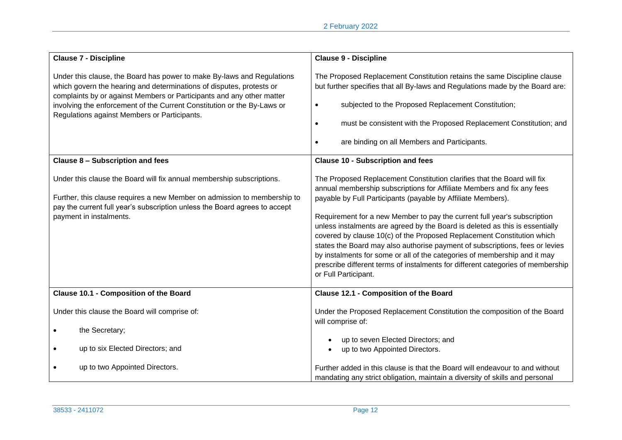| <b>Clause 7 - Discipline</b>                                                                                                                                                                                                                                                                                                                       | <b>Clause 9 - Discipline</b>                                                                                                                                                                                                                                                                                                                                                                                                                                                                                                                                                                                                                                                                                                    |
|----------------------------------------------------------------------------------------------------------------------------------------------------------------------------------------------------------------------------------------------------------------------------------------------------------------------------------------------------|---------------------------------------------------------------------------------------------------------------------------------------------------------------------------------------------------------------------------------------------------------------------------------------------------------------------------------------------------------------------------------------------------------------------------------------------------------------------------------------------------------------------------------------------------------------------------------------------------------------------------------------------------------------------------------------------------------------------------------|
| Under this clause, the Board has power to make By-laws and Regulations<br>which govern the hearing and determinations of disputes, protests or<br>complaints by or against Members or Participants and any other matter<br>involving the enforcement of the Current Constitution or the By-Laws or<br>Regulations against Members or Participants. | The Proposed Replacement Constitution retains the same Discipline clause<br>but further specifies that all By-laws and Regulations made by the Board are:<br>subjected to the Proposed Replacement Constitution;<br>$\bullet$<br>must be consistent with the Proposed Replacement Constitution; and<br>$\bullet$<br>are binding on all Members and Participants.                                                                                                                                                                                                                                                                                                                                                                |
| Clause 8 - Subscription and fees                                                                                                                                                                                                                                                                                                                   | <b>Clause 10 - Subscription and fees</b>                                                                                                                                                                                                                                                                                                                                                                                                                                                                                                                                                                                                                                                                                        |
| Under this clause the Board will fix annual membership subscriptions.<br>Further, this clause requires a new Member on admission to membership to<br>pay the current full year's subscription unless the Board agrees to accept<br>payment in instalments.                                                                                         | The Proposed Replacement Constitution clarifies that the Board will fix<br>annual membership subscriptions for Affiliate Members and fix any fees<br>payable by Full Participants (payable by Affiliate Members).<br>Requirement for a new Member to pay the current full year's subscription<br>unless instalments are agreed by the Board is deleted as this is essentially<br>covered by clause 10(c) of the Proposed Replacement Constitution which<br>states the Board may also authorise payment of subscriptions, fees or levies<br>by instalments for some or all of the categories of membership and it may<br>prescribe different terms of instalments for different categories of membership<br>or Full Participant. |
| <b>Clause 10.1 - Composition of the Board</b>                                                                                                                                                                                                                                                                                                      | <b>Clause 12.1 - Composition of the Board</b>                                                                                                                                                                                                                                                                                                                                                                                                                                                                                                                                                                                                                                                                                   |
| Under this clause the Board will comprise of:<br>the Secretary;                                                                                                                                                                                                                                                                                    | Under the Proposed Replacement Constitution the composition of the Board<br>will comprise of:                                                                                                                                                                                                                                                                                                                                                                                                                                                                                                                                                                                                                                   |
| up to six Elected Directors; and                                                                                                                                                                                                                                                                                                                   | up to seven Elected Directors; and<br>up to two Appointed Directors.                                                                                                                                                                                                                                                                                                                                                                                                                                                                                                                                                                                                                                                            |
| up to two Appointed Directors.                                                                                                                                                                                                                                                                                                                     | Further added in this clause is that the Board will endeavour to and without<br>mandating any strict obligation, maintain a diversity of skills and personal                                                                                                                                                                                                                                                                                                                                                                                                                                                                                                                                                                    |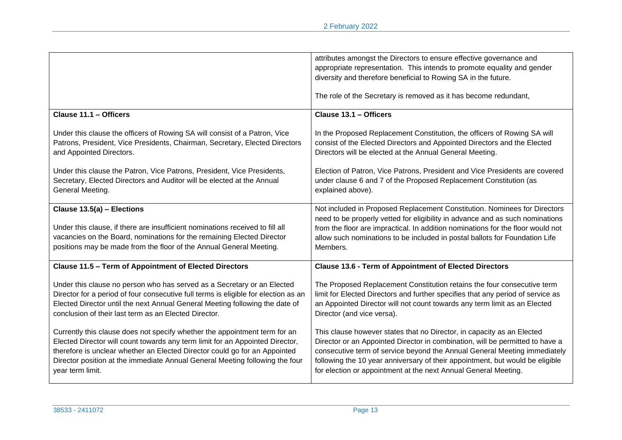|                                                                                                                                                                                                                                                                                                                                               | attributes amongst the Directors to ensure effective governance and<br>appropriate representation. This intends to promote equality and gender<br>diversity and therefore beneficial to Rowing SA in the future.                                                                                                                                                                         |
|-----------------------------------------------------------------------------------------------------------------------------------------------------------------------------------------------------------------------------------------------------------------------------------------------------------------------------------------------|------------------------------------------------------------------------------------------------------------------------------------------------------------------------------------------------------------------------------------------------------------------------------------------------------------------------------------------------------------------------------------------|
|                                                                                                                                                                                                                                                                                                                                               | The role of the Secretary is removed as it has become redundant,                                                                                                                                                                                                                                                                                                                         |
| Clause 11.1 - Officers                                                                                                                                                                                                                                                                                                                        | Clause 13.1 - Officers                                                                                                                                                                                                                                                                                                                                                                   |
| Under this clause the officers of Rowing SA will consist of a Patron, Vice<br>Patrons, President, Vice Presidents, Chairman, Secretary, Elected Directors<br>and Appointed Directors.                                                                                                                                                         | In the Proposed Replacement Constitution, the officers of Rowing SA will<br>consist of the Elected Directors and Appointed Directors and the Elected<br>Directors will be elected at the Annual General Meeting.                                                                                                                                                                         |
| Under this clause the Patron, Vice Patrons, President, Vice Presidents,<br>Secretary, Elected Directors and Auditor will be elected at the Annual<br>General Meeting.                                                                                                                                                                         | Election of Patron, Vice Patrons, President and Vice Presidents are covered<br>under clause 6 and 7 of the Proposed Replacement Constitution (as<br>explained above).                                                                                                                                                                                                                    |
| Clause 13.5(a) - Elections<br>Under this clause, if there are insufficient nominations received to fill all<br>vacancies on the Board, nominations for the remaining Elected Director<br>positions may be made from the floor of the Annual General Meeting.                                                                                  | Not included in Proposed Replacement Constitution. Nominees for Directors<br>need to be properly vetted for eligibility in advance and as such nominations<br>from the floor are impractical. In addition nominations for the floor would not<br>allow such nominations to be included in postal ballots for Foundation Life<br>Members.                                                 |
| <b>Clause 11.5 - Term of Appointment of Elected Directors</b>                                                                                                                                                                                                                                                                                 | <b>Clause 13.6 - Term of Appointment of Elected Directors</b>                                                                                                                                                                                                                                                                                                                            |
| Under this clause no person who has served as a Secretary or an Elected<br>Director for a period of four consecutive full terms is eligible for election as an<br>Elected Director until the next Annual General Meeting following the date of<br>conclusion of their last term as an Elected Director.                                       | The Proposed Replacement Constitution retains the four consecutive term<br>limit for Elected Directors and further specifies that any period of service as<br>an Appointed Director will not count towards any term limit as an Elected<br>Director (and vice versa).                                                                                                                    |
| Currently this clause does not specify whether the appointment term for an<br>Elected Director will count towards any term limit for an Appointed Director,<br>therefore is unclear whether an Elected Director could go for an Appointed<br>Director position at the immediate Annual General Meeting following the four<br>year term limit. | This clause however states that no Director, in capacity as an Elected<br>Director or an Appointed Director in combination, will be permitted to have a<br>consecutive term of service beyond the Annual General Meeting immediately<br>following the 10 year anniversary of their appointment, but would be eligible<br>for election or appointment at the next Annual General Meeting. |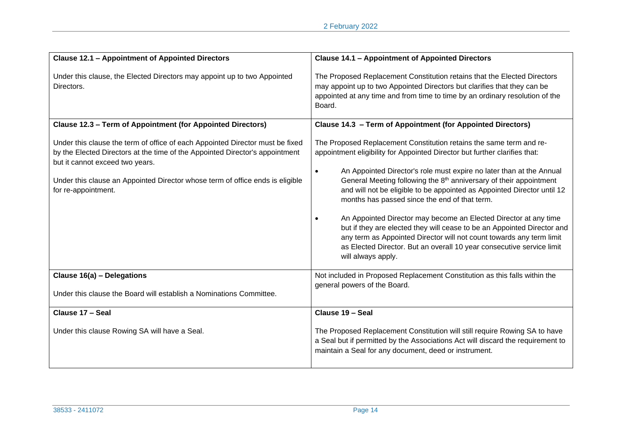| <b>Clause 12.1 - Appointment of Appointed Directors</b>                                                                                                                                                                                                                                                  | <b>Clause 14.1 - Appointment of Appointed Directors</b>                                                                                                                                                                                                                                                                                                                                                                                                                                                                                                                                                                                                                                                                                                                                 |
|----------------------------------------------------------------------------------------------------------------------------------------------------------------------------------------------------------------------------------------------------------------------------------------------------------|-----------------------------------------------------------------------------------------------------------------------------------------------------------------------------------------------------------------------------------------------------------------------------------------------------------------------------------------------------------------------------------------------------------------------------------------------------------------------------------------------------------------------------------------------------------------------------------------------------------------------------------------------------------------------------------------------------------------------------------------------------------------------------------------|
| Under this clause, the Elected Directors may appoint up to two Appointed<br>Directors.                                                                                                                                                                                                                   | The Proposed Replacement Constitution retains that the Elected Directors<br>may appoint up to two Appointed Directors but clarifies that they can be<br>appointed at any time and from time to time by an ordinary resolution of the<br>Board.                                                                                                                                                                                                                                                                                                                                                                                                                                                                                                                                          |
| <b>Clause 12.3 - Term of Appointment (for Appointed Directors)</b>                                                                                                                                                                                                                                       | Clause 14.3 - Term of Appointment (for Appointed Directors)                                                                                                                                                                                                                                                                                                                                                                                                                                                                                                                                                                                                                                                                                                                             |
| Under this clause the term of office of each Appointed Director must be fixed<br>by the Elected Directors at the time of the Appointed Director's appointment<br>but it cannot exceed two years.<br>Under this clause an Appointed Director whose term of office ends is eligible<br>for re-appointment. | The Proposed Replacement Constitution retains the same term and re-<br>appointment eligibility for Appointed Director but further clarifies that:<br>An Appointed Director's role must expire no later than at the Annual<br>$\bullet$<br>General Meeting following the 8 <sup>th</sup> anniversary of their appointment<br>and will not be eligible to be appointed as Appointed Director until 12<br>months has passed since the end of that term.<br>An Appointed Director may become an Elected Director at any time<br>$\bullet$<br>but if they are elected they will cease to be an Appointed Director and<br>any term as Appointed Director will not count towards any term limit<br>as Elected Director. But an overall 10 year consecutive service limit<br>will always apply. |
| Clause 16(a) - Delegations<br>Under this clause the Board will establish a Nominations Committee.                                                                                                                                                                                                        | Not included in Proposed Replacement Constitution as this falls within the<br>general powers of the Board.                                                                                                                                                                                                                                                                                                                                                                                                                                                                                                                                                                                                                                                                              |
|                                                                                                                                                                                                                                                                                                          |                                                                                                                                                                                                                                                                                                                                                                                                                                                                                                                                                                                                                                                                                                                                                                                         |
| Clause 17 - Seal                                                                                                                                                                                                                                                                                         | Clause 19 - Seal                                                                                                                                                                                                                                                                                                                                                                                                                                                                                                                                                                                                                                                                                                                                                                        |
| Under this clause Rowing SA will have a Seal.                                                                                                                                                                                                                                                            | The Proposed Replacement Constitution will still require Rowing SA to have<br>a Seal but if permitted by the Associations Act will discard the requirement to<br>maintain a Seal for any document, deed or instrument.                                                                                                                                                                                                                                                                                                                                                                                                                                                                                                                                                                  |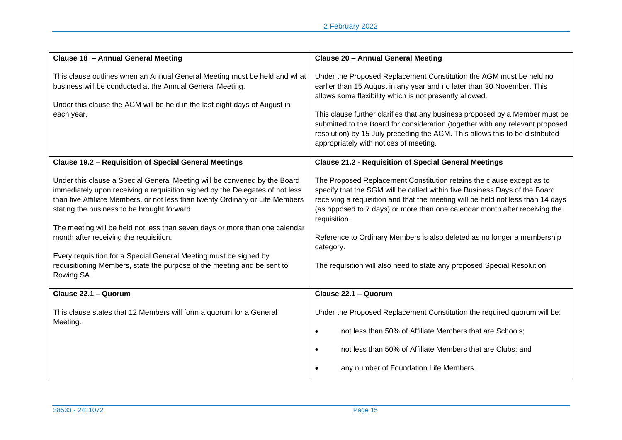| Clause 18 - Annual General Meeting                                                                                                                                                                                                                                                                                                                                                                                                                                                                                                                                               | <b>Clause 20 - Annual General Meeting</b>                                                                                                                                                                                                                                                                                                                                                                                                                                                               |
|----------------------------------------------------------------------------------------------------------------------------------------------------------------------------------------------------------------------------------------------------------------------------------------------------------------------------------------------------------------------------------------------------------------------------------------------------------------------------------------------------------------------------------------------------------------------------------|---------------------------------------------------------------------------------------------------------------------------------------------------------------------------------------------------------------------------------------------------------------------------------------------------------------------------------------------------------------------------------------------------------------------------------------------------------------------------------------------------------|
| This clause outlines when an Annual General Meeting must be held and what<br>business will be conducted at the Annual General Meeting.<br>Under this clause the AGM will be held in the last eight days of August in<br>each year.                                                                                                                                                                                                                                                                                                                                               | Under the Proposed Replacement Constitution the AGM must be held no<br>earlier than 15 August in any year and no later than 30 November. This<br>allows some flexibility which is not presently allowed.<br>This clause further clarifies that any business proposed by a Member must be<br>submitted to the Board for consideration (together with any relevant proposed<br>resolution) by 15 July preceding the AGM. This allows this to be distributed<br>appropriately with notices of meeting.     |
| <b>Clause 19.2 - Requisition of Special General Meetings</b>                                                                                                                                                                                                                                                                                                                                                                                                                                                                                                                     | <b>Clause 21.2 - Requisition of Special General Meetings</b>                                                                                                                                                                                                                                                                                                                                                                                                                                            |
| Under this clause a Special General Meeting will be convened by the Board<br>immediately upon receiving a requisition signed by the Delegates of not less<br>than five Affiliate Members, or not less than twenty Ordinary or Life Members<br>stating the business to be brought forward.<br>The meeting will be held not less than seven days or more than one calendar<br>month after receiving the requisition.<br>Every requisition for a Special General Meeting must be signed by<br>requisitioning Members, state the purpose of the meeting and be sent to<br>Rowing SA. | The Proposed Replacement Constitution retains the clause except as to<br>specify that the SGM will be called within five Business Days of the Board<br>receiving a requisition and that the meeting will be held not less than 14 days<br>(as opposed to 7 days) or more than one calendar month after receiving the<br>requisition.<br>Reference to Ordinary Members is also deleted as no longer a membership<br>category.<br>The requisition will also need to state any proposed Special Resolution |
| Clause 22.1 - Quorum                                                                                                                                                                                                                                                                                                                                                                                                                                                                                                                                                             | Clause 22.1 - Quorum                                                                                                                                                                                                                                                                                                                                                                                                                                                                                    |
| This clause states that 12 Members will form a quorum for a General<br>Meeting.                                                                                                                                                                                                                                                                                                                                                                                                                                                                                                  | Under the Proposed Replacement Constitution the required quorum will be:<br>not less than 50% of Affiliate Members that are Schools;<br>not less than 50% of Affiliate Members that are Clubs; and<br>$\bullet$<br>any number of Foundation Life Members.                                                                                                                                                                                                                                               |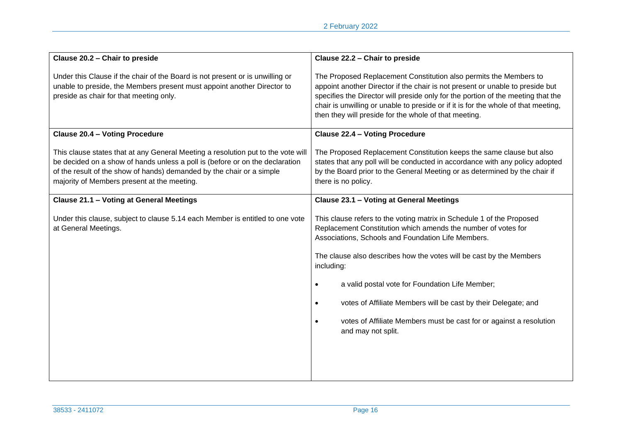| Clause 20.2 - Chair to preside                                                                                                                                                                                                                                                           | Clause 22.2 - Chair to preside                                                                                                                                                                                                                                                                                                                                                                                                                                                                                   |
|------------------------------------------------------------------------------------------------------------------------------------------------------------------------------------------------------------------------------------------------------------------------------------------|------------------------------------------------------------------------------------------------------------------------------------------------------------------------------------------------------------------------------------------------------------------------------------------------------------------------------------------------------------------------------------------------------------------------------------------------------------------------------------------------------------------|
| Under this Clause if the chair of the Board is not present or is unwilling or<br>unable to preside, the Members present must appoint another Director to<br>preside as chair for that meeting only.                                                                                      | The Proposed Replacement Constitution also permits the Members to<br>appoint another Director if the chair is not present or unable to preside but<br>specifies the Director will preside only for the portion of the meeting that the<br>chair is unwilling or unable to preside or if it is for the whole of that meeting,<br>then they will preside for the whole of that meeting.                                                                                                                            |
| <b>Clause 20.4 - Voting Procedure</b>                                                                                                                                                                                                                                                    | <b>Clause 22.4 - Voting Procedure</b>                                                                                                                                                                                                                                                                                                                                                                                                                                                                            |
| This clause states that at any General Meeting a resolution put to the vote will<br>be decided on a show of hands unless a poll is (before or on the declaration<br>of the result of the show of hands) demanded by the chair or a simple<br>majority of Members present at the meeting. | The Proposed Replacement Constitution keeps the same clause but also<br>states that any poll will be conducted in accordance with any policy adopted<br>by the Board prior to the General Meeting or as determined by the chair if<br>there is no policy.                                                                                                                                                                                                                                                        |
| Clause 21.1 - Voting at General Meetings                                                                                                                                                                                                                                                 | Clause 23.1 - Voting at General Meetings                                                                                                                                                                                                                                                                                                                                                                                                                                                                         |
| Under this clause, subject to clause 5.14 each Member is entitled to one vote<br>at General Meetings.                                                                                                                                                                                    | This clause refers to the voting matrix in Schedule 1 of the Proposed<br>Replacement Constitution which amends the number of votes for<br>Associations, Schools and Foundation Life Members.<br>The clause also describes how the votes will be cast by the Members<br>including:<br>a valid postal vote for Foundation Life Member;<br>$\bullet$<br>votes of Affiliate Members will be cast by their Delegate; and<br>votes of Affiliate Members must be cast for or against a resolution<br>and may not split. |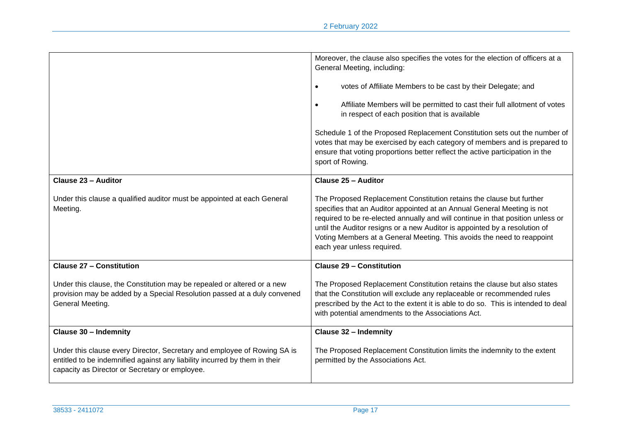|                                                                                                                                                                                                          | Moreover, the clause also specifies the votes for the election of officers at a<br>General Meeting, including:<br>votes of Affiliate Members to be cast by their Delegate; and<br>Affiliate Members will be permitted to cast their full allotment of votes<br>in respect of each position that is available<br>Schedule 1 of the Proposed Replacement Constitution sets out the number of<br>votes that may be exercised by each category of members and is prepared to<br>ensure that voting proportions better reflect the active participation in the<br>sport of Rowing. |
|----------------------------------------------------------------------------------------------------------------------------------------------------------------------------------------------------------|-------------------------------------------------------------------------------------------------------------------------------------------------------------------------------------------------------------------------------------------------------------------------------------------------------------------------------------------------------------------------------------------------------------------------------------------------------------------------------------------------------------------------------------------------------------------------------|
| Clause 23 - Auditor                                                                                                                                                                                      | Clause 25 - Auditor                                                                                                                                                                                                                                                                                                                                                                                                                                                                                                                                                           |
| Under this clause a qualified auditor must be appointed at each General<br>Meeting.                                                                                                                      | The Proposed Replacement Constitution retains the clause but further<br>specifies that an Auditor appointed at an Annual General Meeting is not<br>required to be re-elected annually and will continue in that position unless or<br>until the Auditor resigns or a new Auditor is appointed by a resolution of<br>Voting Members at a General Meeting. This avoids the need to reappoint<br>each year unless required.                                                                                                                                                      |
| <b>Clause 27 - Constitution</b>                                                                                                                                                                          | <b>Clause 29 - Constitution</b>                                                                                                                                                                                                                                                                                                                                                                                                                                                                                                                                               |
| Under this clause, the Constitution may be repealed or altered or a new<br>provision may be added by a Special Resolution passed at a duly convened<br>General Meeting.                                  | The Proposed Replacement Constitution retains the clause but also states<br>that the Constitution will exclude any replaceable or recommended rules<br>prescribed by the Act to the extent it is able to do so. This is intended to deal<br>with potential amendments to the Associations Act.                                                                                                                                                                                                                                                                                |
| <b>Clause 30 - Indemnity</b>                                                                                                                                                                             | <b>Clause 32 - Indemnity</b>                                                                                                                                                                                                                                                                                                                                                                                                                                                                                                                                                  |
| Under this clause every Director, Secretary and employee of Rowing SA is<br>entitled to be indemnified against any liability incurred by them in their<br>capacity as Director or Secretary or employee. | The Proposed Replacement Constitution limits the indemnity to the extent<br>permitted by the Associations Act.                                                                                                                                                                                                                                                                                                                                                                                                                                                                |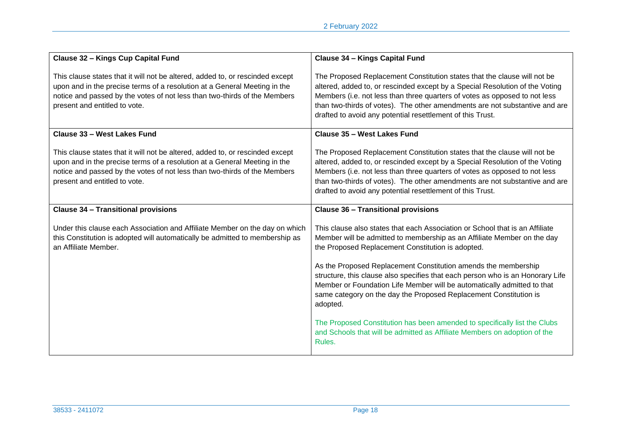| Clause 32 - Kings Cup Capital Fund                                                                                                                                                                                                                                       | Clause 34 - Kings Capital Fund                                                                                                                                                                                                                                                                                                                                                      |
|--------------------------------------------------------------------------------------------------------------------------------------------------------------------------------------------------------------------------------------------------------------------------|-------------------------------------------------------------------------------------------------------------------------------------------------------------------------------------------------------------------------------------------------------------------------------------------------------------------------------------------------------------------------------------|
| This clause states that it will not be altered, added to, or rescinded except<br>upon and in the precise terms of a resolution at a General Meeting in the<br>notice and passed by the votes of not less than two-thirds of the Members<br>present and entitled to vote. | The Proposed Replacement Constitution states that the clause will not be<br>altered, added to, or rescinded except by a Special Resolution of the Voting<br>Members (i.e. not less than three quarters of votes as opposed to not less<br>than two-thirds of votes). The other amendments are not substantive and are<br>drafted to avoid any potential resettlement of this Trust. |
| Clause 33 - West Lakes Fund                                                                                                                                                                                                                                              | Clause 35 - West Lakes Fund                                                                                                                                                                                                                                                                                                                                                         |
| This clause states that it will not be altered, added to, or rescinded except<br>upon and in the precise terms of a resolution at a General Meeting in the<br>notice and passed by the votes of not less than two-thirds of the Members<br>present and entitled to vote. | The Proposed Replacement Constitution states that the clause will not be<br>altered, added to, or rescinded except by a Special Resolution of the Voting<br>Members (i.e. not less than three quarters of votes as opposed to not less<br>than two-thirds of votes). The other amendments are not substantive and are<br>drafted to avoid any potential resettlement of this Trust. |
| <b>Clause 34 - Transitional provisions</b>                                                                                                                                                                                                                               | <b>Clause 36 - Transitional provisions</b>                                                                                                                                                                                                                                                                                                                                          |
| Under this clause each Association and Affiliate Member on the day on which<br>this Constitution is adopted will automatically be admitted to membership as<br>an Affiliate Member.                                                                                      | This clause also states that each Association or School that is an Affiliate<br>Member will be admitted to membership as an Affiliate Member on the day<br>the Proposed Replacement Constitution is adopted.                                                                                                                                                                        |
|                                                                                                                                                                                                                                                                          | As the Proposed Replacement Constitution amends the membership<br>structure, this clause also specifies that each person who is an Honorary Life<br>Member or Foundation Life Member will be automatically admitted to that<br>same category on the day the Proposed Replacement Constitution is<br>adopted.                                                                        |
|                                                                                                                                                                                                                                                                          | The Proposed Constitution has been amended to specifically list the Clubs<br>and Schools that will be admitted as Affiliate Members on adoption of the<br>Rules.                                                                                                                                                                                                                    |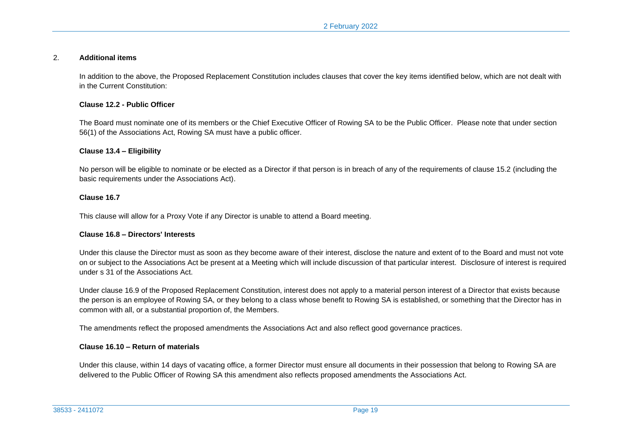#### 2. **Additional items**

In addition to the above, the Proposed Replacement Constitution includes clauses that cover the key items identified below, which are not dealt with in the Current Constitution:

#### **Clause 12.2 - Public Officer**

The Board must nominate one of its members or the Chief Executive Officer of Rowing SA to be the Public Officer. Please note that under section 56(1) of the Associations Act, Rowing SA must have a public officer.

#### **Clause 13.4 – Eligibility**

No person will be eligible to nominate or be elected as a Director if that person is in breach of any of the requirements of clause 15.2 (including the basic requirements under the Associations Act).

#### **Clause 16.7**

This clause will allow for a Proxy Vote if any Director is unable to attend a Board meeting.

#### **Clause 16.8 – Directors' Interests**

Under this clause the Director must as soon as they become aware of their interest, disclose the nature and extent of to the Board and must not vote on or subject to the Associations Act be present at a Meeting which will include discussion of that particular interest. Disclosure of interest is required under s 31 of the Associations Act.

Under clause 16.9 of the Proposed Replacement Constitution, interest does not apply to a material person interest of a Director that exists because the person is an employee of Rowing SA, or they belong to a class whose benefit to Rowing SA is established, or something that the Director has in common with all, or a substantial proportion of, the Members.

The amendments reflect the proposed amendments the Associations Act and also reflect good governance practices.

#### **Clause 16.10 – Return of materials**

Under this clause, within 14 days of vacating office, a former Director must ensure all documents in their possession that belong to Rowing SA are delivered to the Public Officer of Rowing SA this amendment also reflects proposed amendments the Associations Act.